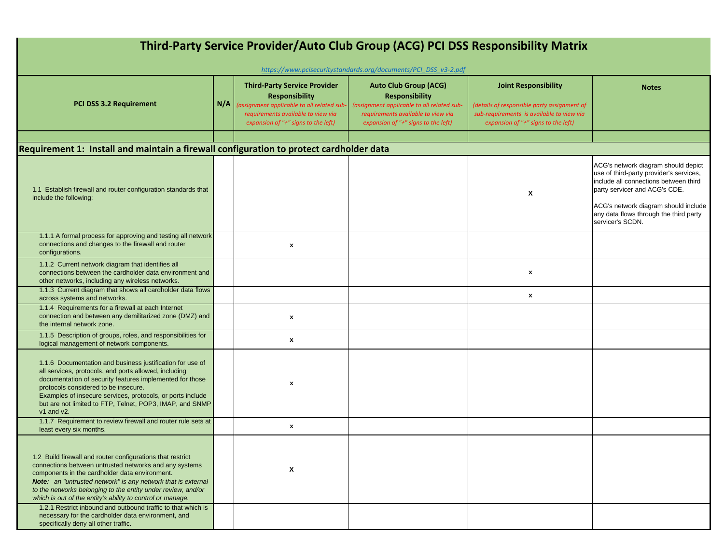| Third-Party Service Provider/Auto Club Group (ACG) PCI DSS Responsibility Matrix<br>https://www.pcisecuritystandards.org/documents/PCI DSS v3-2.pdf                                                                                                                                                                                                                         |     |                                                                                                                                                                                         |                                                                                                                                                                                  |                                                                                                                                                                |                                                                                                                                                                                                                                                                |  |  |
|-----------------------------------------------------------------------------------------------------------------------------------------------------------------------------------------------------------------------------------------------------------------------------------------------------------------------------------------------------------------------------|-----|-----------------------------------------------------------------------------------------------------------------------------------------------------------------------------------------|----------------------------------------------------------------------------------------------------------------------------------------------------------------------------------|----------------------------------------------------------------------------------------------------------------------------------------------------------------|----------------------------------------------------------------------------------------------------------------------------------------------------------------------------------------------------------------------------------------------------------------|--|--|
| <b>PCI DSS 3.2 Requirement</b>                                                                                                                                                                                                                                                                                                                                              | N/A | <b>Third-Party Service Provider</b><br><b>Responsibility</b><br>(assignment applicable to all related sub-<br>requirements available to view via<br>expansion of "+" signs to the left) | <b>Auto Club Group (ACG)</b><br><b>Responsibility</b><br>(assignment applicable to all related sub-<br>requirements available to view via<br>expansion of "+" signs to the left) | <b>Joint Responsibility</b><br>(details of responsible party assignment of<br>sub-requirements is available to view via<br>expansion of "+" signs to the left) | <b>Notes</b>                                                                                                                                                                                                                                                   |  |  |
|                                                                                                                                                                                                                                                                                                                                                                             |     |                                                                                                                                                                                         |                                                                                                                                                                                  |                                                                                                                                                                |                                                                                                                                                                                                                                                                |  |  |
| Requirement 1: Install and maintain a firewall configuration to protect cardholder data                                                                                                                                                                                                                                                                                     |     |                                                                                                                                                                                         |                                                                                                                                                                                  |                                                                                                                                                                |                                                                                                                                                                                                                                                                |  |  |
| 1.1 Establish firewall and router configuration standards that<br>include the following:                                                                                                                                                                                                                                                                                    |     |                                                                                                                                                                                         |                                                                                                                                                                                  | X                                                                                                                                                              | ACG's network diagram should depict<br>use of third-party provider's services,<br>include all connections between third<br>party servicer and ACG's CDE.<br>ACG's network diagram should include<br>any data flows through the third party<br>servicer's SCDN. |  |  |
| 1.1.1 A formal process for approving and testing all network<br>connections and changes to the firewall and router<br>configurations.                                                                                                                                                                                                                                       |     | x                                                                                                                                                                                       |                                                                                                                                                                                  |                                                                                                                                                                |                                                                                                                                                                                                                                                                |  |  |
| 1.1.2 Current network diagram that identifies all<br>connections between the cardholder data environment and<br>other networks, including any wireless networks.                                                                                                                                                                                                            |     |                                                                                                                                                                                         |                                                                                                                                                                                  | x                                                                                                                                                              |                                                                                                                                                                                                                                                                |  |  |
| 1.1.3 Current diagram that shows all cardholder data flows<br>across systems and networks.                                                                                                                                                                                                                                                                                  |     |                                                                                                                                                                                         |                                                                                                                                                                                  | $\pmb{\chi}$                                                                                                                                                   |                                                                                                                                                                                                                                                                |  |  |
| 1.1.4 Requirements for a firewall at each Internet<br>connection and between any demilitarized zone (DMZ) and<br>the internal network zone.                                                                                                                                                                                                                                 |     | $\pmb{\chi}$                                                                                                                                                                            |                                                                                                                                                                                  |                                                                                                                                                                |                                                                                                                                                                                                                                                                |  |  |
| 1.1.5 Description of groups, roles, and responsibilities for<br>logical management of network components.                                                                                                                                                                                                                                                                   |     | x                                                                                                                                                                                       |                                                                                                                                                                                  |                                                                                                                                                                |                                                                                                                                                                                                                                                                |  |  |
| 1.1.6 Documentation and business justification for use of<br>all services, protocols, and ports allowed, including<br>documentation of security features implemented for those<br>protocols considered to be insecure.<br>Examples of insecure services, protocols, or ports include<br>but are not limited to FTP, Telnet, POP3, IMAP, and SNMP<br>$v1$ and $v2$ .         |     | x                                                                                                                                                                                       |                                                                                                                                                                                  |                                                                                                                                                                |                                                                                                                                                                                                                                                                |  |  |
| 1.1.7 Requirement to review firewall and router rule sets at<br>least every six months.                                                                                                                                                                                                                                                                                     |     | x                                                                                                                                                                                       |                                                                                                                                                                                  |                                                                                                                                                                |                                                                                                                                                                                                                                                                |  |  |
| 1.2 Build firewall and router configurations that restrict<br>connections between untrusted networks and any systems<br>components in the cardholder data environment.<br><b>Note:</b> an "untrusted network" is any network that is external<br>to the networks belonging to the entity under review, and/or<br>which is out of the entity's ability to control or manage. |     | X                                                                                                                                                                                       |                                                                                                                                                                                  |                                                                                                                                                                |                                                                                                                                                                                                                                                                |  |  |
| 1.2.1 Restrict inbound and outbound traffic to that which is<br>necessary for the cardholder data environment, and<br>specifically deny all other traffic.                                                                                                                                                                                                                  |     |                                                                                                                                                                                         |                                                                                                                                                                                  |                                                                                                                                                                |                                                                                                                                                                                                                                                                |  |  |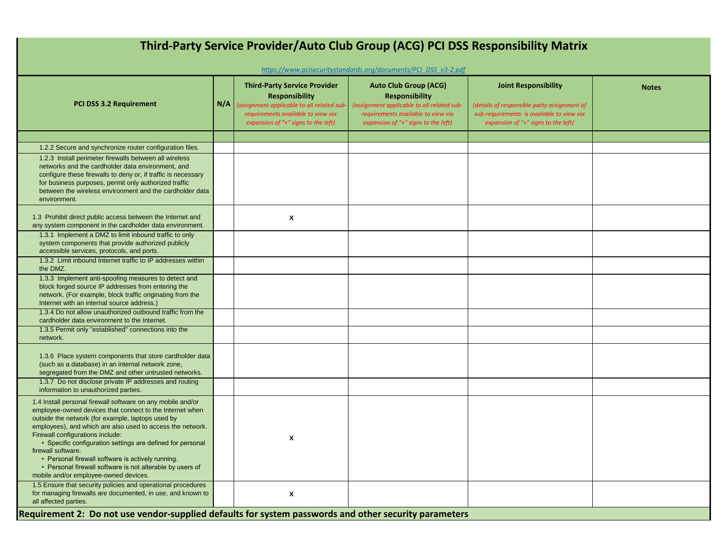| Third-Party Service Provider/Auto Club Group (ACG) PCI DSS Responsibility Matrix<br>https://www.pcisecuritystandards.org/documents/PCI DSS v3-2.pdf                                                                                                                                                                                                                                                                                                                                                                           |     |                                                                                                                                                                                         |                                                                                                                                                                                      |                                                                                                                                                                |              |  |  |
|-------------------------------------------------------------------------------------------------------------------------------------------------------------------------------------------------------------------------------------------------------------------------------------------------------------------------------------------------------------------------------------------------------------------------------------------------------------------------------------------------------------------------------|-----|-----------------------------------------------------------------------------------------------------------------------------------------------------------------------------------------|--------------------------------------------------------------------------------------------------------------------------------------------------------------------------------------|----------------------------------------------------------------------------------------------------------------------------------------------------------------|--------------|--|--|
| PCI DSS 3.2 Requirement                                                                                                                                                                                                                                                                                                                                                                                                                                                                                                       | N/A | <b>Third-Party Service Provider</b><br><b>Responsibility</b><br>(assignment applicable to all related sub-<br>requirements available to view via<br>expansion of "+" signs to the left) | <b>Auto Club Group (ACG)</b><br><b>Responsibility</b><br>(assignment applicable to all related sub-<br>requirements available to view via<br>expansion of " $+$ " signs to the left) | <b>Joint Responsibility</b><br>(details of responsible party assignment of<br>sub-requirements is available to view via<br>expansion of "+" signs to the left) | <b>Notes</b> |  |  |
|                                                                                                                                                                                                                                                                                                                                                                                                                                                                                                                               |     |                                                                                                                                                                                         |                                                                                                                                                                                      |                                                                                                                                                                |              |  |  |
| 1.2.2 Secure and synchronize router configuration files.                                                                                                                                                                                                                                                                                                                                                                                                                                                                      |     |                                                                                                                                                                                         |                                                                                                                                                                                      |                                                                                                                                                                |              |  |  |
| 1.2.3 Install perimeter firewalls between all wireless<br>networks and the cardholder data environment, and<br>configure these firewalls to deny or, if traffic is necessary<br>for business purposes, permit only authorized traffic<br>between the wireless environment and the cardholder data<br>environment.                                                                                                                                                                                                             |     |                                                                                                                                                                                         |                                                                                                                                                                                      |                                                                                                                                                                |              |  |  |
| 1.3 Prohibit direct public access between the Internet and<br>any system component in the cardholder data environment.                                                                                                                                                                                                                                                                                                                                                                                                        |     | X                                                                                                                                                                                       |                                                                                                                                                                                      |                                                                                                                                                                |              |  |  |
| 1.3.1 Implement a DMZ to limit inbound traffic to only<br>system components that provide authorized publicly<br>accessible services, protocols, and ports.                                                                                                                                                                                                                                                                                                                                                                    |     |                                                                                                                                                                                         |                                                                                                                                                                                      |                                                                                                                                                                |              |  |  |
| 1.3.2 Limit inbound Internet traffic to IP addresses within<br>the DMZ.                                                                                                                                                                                                                                                                                                                                                                                                                                                       |     |                                                                                                                                                                                         |                                                                                                                                                                                      |                                                                                                                                                                |              |  |  |
| 1.3.3 Implement anti-spoofing measures to detect and<br>block forged source IP addresses from entering the<br>network. (For example, block traffic originating from the<br>Internet with an internal source address.)                                                                                                                                                                                                                                                                                                         |     |                                                                                                                                                                                         |                                                                                                                                                                                      |                                                                                                                                                                |              |  |  |
| 1.3.4 Do not allow unauthorized outbound traffic from the<br>cardholder data environment to the Internet.                                                                                                                                                                                                                                                                                                                                                                                                                     |     |                                                                                                                                                                                         |                                                                                                                                                                                      |                                                                                                                                                                |              |  |  |
| 1.3.5 Permit only "established" connections into the<br>network.                                                                                                                                                                                                                                                                                                                                                                                                                                                              |     |                                                                                                                                                                                         |                                                                                                                                                                                      |                                                                                                                                                                |              |  |  |
| 1.3.6 Place system components that store cardholder data<br>(such as a database) in an internal network zone,<br>segregated from the DMZ and other untrusted networks.                                                                                                                                                                                                                                                                                                                                                        |     |                                                                                                                                                                                         |                                                                                                                                                                                      |                                                                                                                                                                |              |  |  |
| 1.3.7 Do not disclose private IP addresses and routing<br>information to unauthorized parties.                                                                                                                                                                                                                                                                                                                                                                                                                                |     |                                                                                                                                                                                         |                                                                                                                                                                                      |                                                                                                                                                                |              |  |  |
| 1.4 Install personal firewall software on any mobile and/or<br>employee-owned devices that connect to the Internet when<br>outside the network (for example, laptops used by<br>employees), and which are also used to access the network.<br>Firewall configurations include:<br>• Specific configuration settings are defined for personal<br>firewall software.<br>• Personal firewall software is actively running.<br>• Personal firewall software is not alterable by users of<br>mobile and/or employee-owned devices. |     | X                                                                                                                                                                                       |                                                                                                                                                                                      |                                                                                                                                                                |              |  |  |
| 1.5 Ensure that security policies and operational procedures<br>for managing firewalls are documented, in use, and known to<br>all affected parties.<br>Requirement 2: Do not use vendor-supplied defaults for system passwords and other security parameters                                                                                                                                                                                                                                                                 |     | X                                                                                                                                                                                       |                                                                                                                                                                                      |                                                                                                                                                                |              |  |  |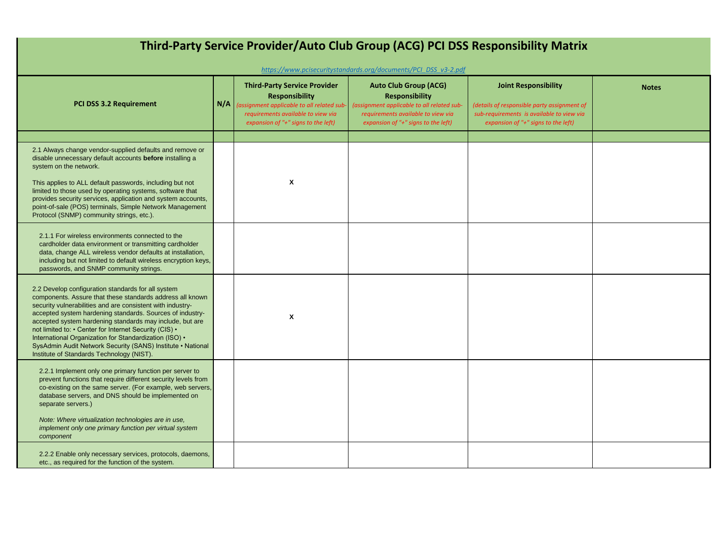| Third-Party Service Provider/Auto Club Group (ACG) PCI DSS Responsibility Matrix<br>https://www.pcisecuritystandards.org/documents/PCI DSS v3-2.pdf                                                                                                                                                                                                                                                                                                                                                                                    |     |                                                                                                                                                                                         |                                                                                                                                                                                  |                                                                                                                                                                |              |  |  |
|----------------------------------------------------------------------------------------------------------------------------------------------------------------------------------------------------------------------------------------------------------------------------------------------------------------------------------------------------------------------------------------------------------------------------------------------------------------------------------------------------------------------------------------|-----|-----------------------------------------------------------------------------------------------------------------------------------------------------------------------------------------|----------------------------------------------------------------------------------------------------------------------------------------------------------------------------------|----------------------------------------------------------------------------------------------------------------------------------------------------------------|--------------|--|--|
| <b>PCI DSS 3.2 Requirement</b>                                                                                                                                                                                                                                                                                                                                                                                                                                                                                                         | N/A | <b>Third-Party Service Provider</b><br><b>Responsibility</b><br>(assignment applicable to all related sub-<br>requirements available to view via<br>expansion of "+" signs to the left) | <b>Auto Club Group (ACG)</b><br><b>Responsibility</b><br>(assignment applicable to all related sub-<br>requirements available to view via<br>expansion of "+" signs to the left) | <b>Joint Responsibility</b><br>(details of responsible party assignment of<br>sub-requirements is available to view via<br>expansion of "+" signs to the left) | <b>Notes</b> |  |  |
| 2.1 Always change vendor-supplied defaults and remove or<br>disable unnecessary default accounts before installing a<br>system on the network.<br>This applies to ALL default passwords, including but not<br>limited to those used by operating systems, software that<br>provides security services, application and system accounts,<br>point-of-sale (POS) terminals, Simple Network Management<br>Protocol (SNMP) community strings, etc.).                                                                                       |     | $\boldsymbol{\mathsf{x}}$                                                                                                                                                               |                                                                                                                                                                                  |                                                                                                                                                                |              |  |  |
| 2.1.1 For wireless environments connected to the<br>cardholder data environment or transmitting cardholder<br>data, change ALL wireless vendor defaults at installation,<br>including but not limited to default wireless encryption keys,<br>passwords, and SNMP community strings.                                                                                                                                                                                                                                                   |     |                                                                                                                                                                                         |                                                                                                                                                                                  |                                                                                                                                                                |              |  |  |
| 2.2 Develop configuration standards for all system<br>components. Assure that these standards address all known<br>security vulnerabilities and are consistent with industry-<br>accepted system hardening standards. Sources of industry-<br>accepted system hardening standards may include, but are<br>not limited to: • Center for Internet Security (CIS) •<br>International Organization for Standardization (ISO) .<br>SysAdmin Audit Network Security (SANS) Institute • National<br>Institute of Standards Technology (NIST). |     | $\boldsymbol{\mathsf{x}}$                                                                                                                                                               |                                                                                                                                                                                  |                                                                                                                                                                |              |  |  |
| 2.2.1 Implement only one primary function per server to<br>prevent functions that require different security levels from<br>co-existing on the same server. (For example, web servers,<br>database servers, and DNS should be implemented on<br>separate servers.)<br>Note: Where virtualization technologies are in use,<br>implement only one primary function per virtual system<br>component                                                                                                                                       |     |                                                                                                                                                                                         |                                                                                                                                                                                  |                                                                                                                                                                |              |  |  |
| 2.2.2 Enable only necessary services, protocols, daemons,<br>etc., as required for the function of the system.                                                                                                                                                                                                                                                                                                                                                                                                                         |     |                                                                                                                                                                                         |                                                                                                                                                                                  |                                                                                                                                                                |              |  |  |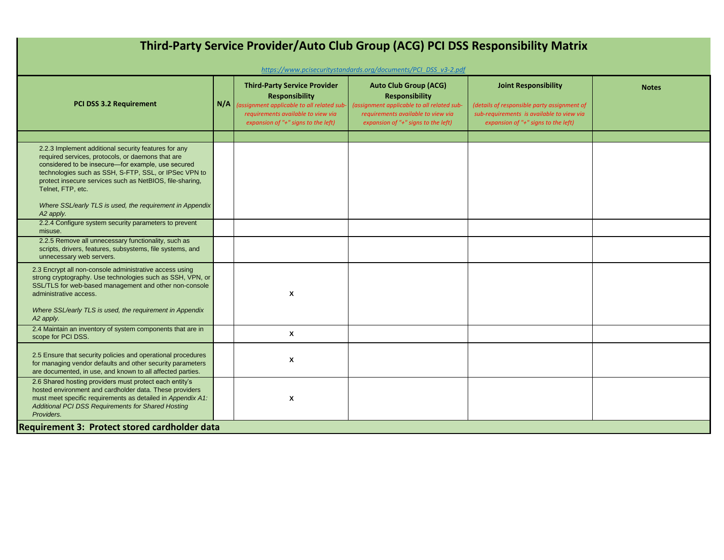| Third-Party Service Provider/Auto Club Group (ACG) PCI DSS Responsibility Matrix<br>https://www.pcisecuritystandards.org/documents/PCI DSS v3-2.pdf                                                                                                                                                                                                                                                                                                                                                                                                                        |     |                                                                                                                                                                                         |                                                                                                                                                                                  |                                                                                                                                                                |              |  |  |
|----------------------------------------------------------------------------------------------------------------------------------------------------------------------------------------------------------------------------------------------------------------------------------------------------------------------------------------------------------------------------------------------------------------------------------------------------------------------------------------------------------------------------------------------------------------------------|-----|-----------------------------------------------------------------------------------------------------------------------------------------------------------------------------------------|----------------------------------------------------------------------------------------------------------------------------------------------------------------------------------|----------------------------------------------------------------------------------------------------------------------------------------------------------------|--------------|--|--|
| PCI DSS 3.2 Requirement                                                                                                                                                                                                                                                                                                                                                                                                                                                                                                                                                    | N/A | <b>Third-Party Service Provider</b><br><b>Responsibility</b><br>(assignment applicable to all related sub-<br>requirements available to view via<br>expansion of "+" signs to the left) | <b>Auto Club Group (ACG)</b><br><b>Responsibility</b><br>(assignment applicable to all related sub-<br>requirements available to view via<br>expansion of "+" signs to the left) | <b>Joint Responsibility</b><br>(details of responsible party assignment of<br>sub-requirements is available to view via<br>expansion of "+" signs to the left) | <b>Notes</b> |  |  |
| 2.2.3 Implement additional security features for any<br>required services, protocols, or daemons that are<br>considered to be insecure-for example, use secured<br>technologies such as SSH, S-FTP, SSL, or IPSec VPN to<br>protect insecure services such as NetBIOS, file-sharing,<br>Telnet, FTP, etc.<br>Where SSL/early TLS is used, the requirement in Appendix<br>A2 apply.<br>2.2.4 Configure system security parameters to prevent<br>misuse.<br>2.2.5 Remove all unnecessary functionality, such as<br>scripts, drivers, features, subsystems, file systems, and |     |                                                                                                                                                                                         |                                                                                                                                                                                  |                                                                                                                                                                |              |  |  |
| unnecessary web servers.<br>2.3 Encrypt all non-console administrative access using<br>strong cryptography. Use technologies such as SSH, VPN, or<br>SSL/TLS for web-based management and other non-console<br>administrative access.<br>Where SSL/early TLS is used, the requirement in Appendix<br>A2 apply.<br>2.4 Maintain an inventory of system components that are in                                                                                                                                                                                               |     | X                                                                                                                                                                                       |                                                                                                                                                                                  |                                                                                                                                                                |              |  |  |
| scope for PCI DSS.<br>2.5 Ensure that security policies and operational procedures<br>for managing vendor defaults and other security parameters                                                                                                                                                                                                                                                                                                                                                                                                                           |     | $\mathbf{x}$<br>$\boldsymbol{x}$                                                                                                                                                        |                                                                                                                                                                                  |                                                                                                                                                                |              |  |  |
| are documented, in use, and known to all affected parties.<br>2.6 Shared hosting providers must protect each entity's<br>hosted environment and cardholder data. These providers<br>must meet specific requirements as detailed in Appendix A1:<br>Additional PCI DSS Requirements for Shared Hosting<br>Providers.<br>Requirement 3: Protect stored cardholder data                                                                                                                                                                                                       |     | Χ                                                                                                                                                                                       |                                                                                                                                                                                  |                                                                                                                                                                |              |  |  |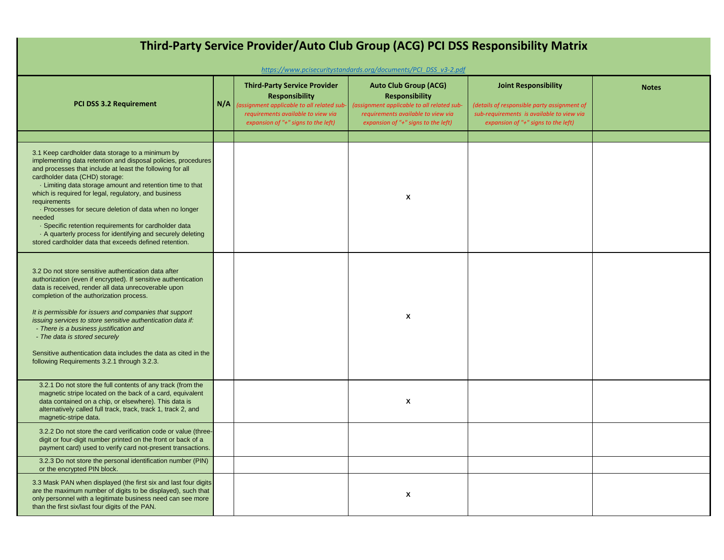| Third-Party Service Provider/Auto Club Group (ACG) PCI DSS Responsibility Matrix<br>https://www.pcisecuritystandards.org/documents/PCI_DSS_v3-2.pdf                                                                                                                                                                                                                                                                                                                                                                                                                                                        |     |                                                                                                                                                                                        |                                                                                                                                                                                  |                                                                                                                                                                |              |  |  |
|------------------------------------------------------------------------------------------------------------------------------------------------------------------------------------------------------------------------------------------------------------------------------------------------------------------------------------------------------------------------------------------------------------------------------------------------------------------------------------------------------------------------------------------------------------------------------------------------------------|-----|----------------------------------------------------------------------------------------------------------------------------------------------------------------------------------------|----------------------------------------------------------------------------------------------------------------------------------------------------------------------------------|----------------------------------------------------------------------------------------------------------------------------------------------------------------|--------------|--|--|
| <b>PCI DSS 3.2 Requirement</b>                                                                                                                                                                                                                                                                                                                                                                                                                                                                                                                                                                             | N/A | <b>Third-Party Service Provider</b><br><b>Responsibility</b><br>(assignment applicable to all related sub<br>requirements available to view via<br>expansion of "+" signs to the left) | <b>Auto Club Group (ACG)</b><br><b>Responsibility</b><br>(assignment applicable to all related sub-<br>requirements available to view via<br>expansion of "+" signs to the left) | <b>Joint Responsibility</b><br>(details of responsible party assignment of<br>sub-requirements is available to view via<br>expansion of "+" signs to the left) | <b>Notes</b> |  |  |
|                                                                                                                                                                                                                                                                                                                                                                                                                                                                                                                                                                                                            |     |                                                                                                                                                                                        |                                                                                                                                                                                  |                                                                                                                                                                |              |  |  |
| 3.1 Keep cardholder data storage to a minimum by<br>implementing data retention and disposal policies, procedures<br>and processes that include at least the following for all<br>cardholder data (CHD) storage:<br>- Limiting data storage amount and retention time to that<br>which is required for legal, regulatory, and business<br>requirements<br>- Processes for secure deletion of data when no longer<br>needed<br>· Specific retention requirements for cardholder data<br>A quarterly process for identifying and securely deleting<br>stored cardholder data that exceeds defined retention. |     |                                                                                                                                                                                        | X                                                                                                                                                                                |                                                                                                                                                                |              |  |  |
| 3.2 Do not store sensitive authentication data after<br>authorization (even if encrypted). If sensitive authentication<br>data is received, render all data unrecoverable upon<br>completion of the authorization process.<br>It is permissible for issuers and companies that support<br>issuing services to store sensitive authentication data if:<br>- There is a business justification and<br>- The data is stored securely<br>Sensitive authentication data includes the data as cited in the<br>following Requirements 3.2.1 through 3.2.3.                                                        |     |                                                                                                                                                                                        | X                                                                                                                                                                                |                                                                                                                                                                |              |  |  |
| 3.2.1 Do not store the full contents of any track (from the<br>magnetic stripe located on the back of a card, equivalent<br>data contained on a chip, or elsewhere). This data is<br>alternatively called full track, track, track 1, track 2, and<br>magnetic-stripe data.                                                                                                                                                                                                                                                                                                                                |     |                                                                                                                                                                                        | X                                                                                                                                                                                |                                                                                                                                                                |              |  |  |
| 3.2.2 Do not store the card verification code or value (three-<br>digit or four-digit number printed on the front or back of a<br>payment card) used to verify card not-present transactions.                                                                                                                                                                                                                                                                                                                                                                                                              |     |                                                                                                                                                                                        |                                                                                                                                                                                  |                                                                                                                                                                |              |  |  |
| 3.2.3 Do not store the personal identification number (PIN)<br>or the encrypted PIN block.                                                                                                                                                                                                                                                                                                                                                                                                                                                                                                                 |     |                                                                                                                                                                                        |                                                                                                                                                                                  |                                                                                                                                                                |              |  |  |
| 3.3 Mask PAN when displayed (the first six and last four digits<br>are the maximum number of digits to be displayed), such that<br>only personnel with a legitimate business need can see more<br>than the first six/last four digits of the PAN.                                                                                                                                                                                                                                                                                                                                                          |     |                                                                                                                                                                                        | X                                                                                                                                                                                |                                                                                                                                                                |              |  |  |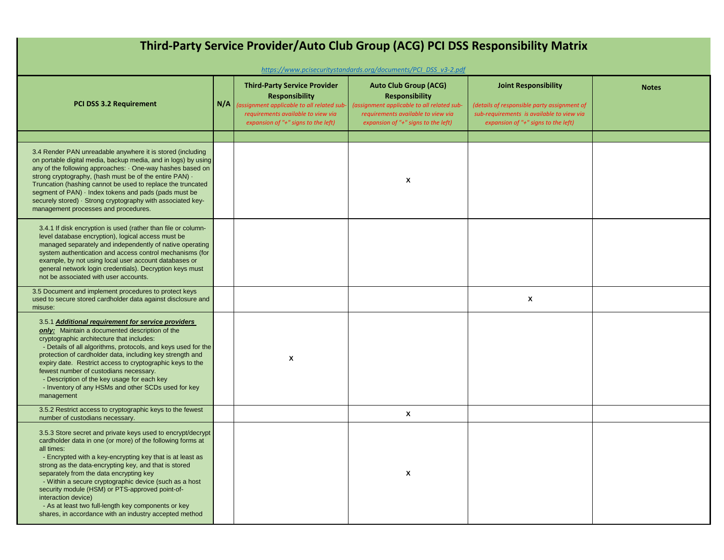| Third-Party Service Provider/Auto Club Group (ACG) PCI DSS Responsibility Matrix<br>https://www.pcisecuritystandards.org/documents/PCI_DSS_v3-2.pdf                                                                                                                                                                                                                                                                                                                                                                                                           |     |                                                                                                                                                                                         |                                                                                                                                                                                  |                                                                                                                                                                |              |  |  |  |
|---------------------------------------------------------------------------------------------------------------------------------------------------------------------------------------------------------------------------------------------------------------------------------------------------------------------------------------------------------------------------------------------------------------------------------------------------------------------------------------------------------------------------------------------------------------|-----|-----------------------------------------------------------------------------------------------------------------------------------------------------------------------------------------|----------------------------------------------------------------------------------------------------------------------------------------------------------------------------------|----------------------------------------------------------------------------------------------------------------------------------------------------------------|--------------|--|--|--|
| <b>PCI DSS 3.2 Requirement</b>                                                                                                                                                                                                                                                                                                                                                                                                                                                                                                                                | N/A | <b>Third-Party Service Provider</b><br><b>Responsibility</b><br>(assignment applicable to all related sub-<br>requirements available to view via<br>expansion of "+" signs to the left) | <b>Auto Club Group (ACG)</b><br><b>Responsibility</b><br>(assignment applicable to all related sub-<br>requirements available to view via<br>expansion of "+" signs to the left) | <b>Joint Responsibility</b><br>(details of responsible party assignment of<br>sub-requirements is available to view via<br>expansion of "+" signs to the left) | <b>Notes</b> |  |  |  |
|                                                                                                                                                                                                                                                                                                                                                                                                                                                                                                                                                               |     |                                                                                                                                                                                         |                                                                                                                                                                                  |                                                                                                                                                                |              |  |  |  |
| 3.4 Render PAN unreadable anywhere it is stored (including<br>on portable digital media, backup media, and in logs) by using<br>any of the following approaches: One-way hashes based on<br>strong cryptography, (hash must be of the entire PAN) .<br>Truncation (hashing cannot be used to replace the truncated<br>segment of PAN) · Index tokens and pads (pads must be<br>securely stored) · Strong cryptography with associated key-<br>management processes and procedures.                                                                            |     |                                                                                                                                                                                         | X                                                                                                                                                                                |                                                                                                                                                                |              |  |  |  |
| 3.4.1 If disk encryption is used (rather than file or column-<br>level database encryption), logical access must be<br>managed separately and independently of native operating<br>system authentication and access control mechanisms (for<br>example, by not using local user account databases or<br>general network login credentials). Decryption keys must<br>not be associated with user accounts.                                                                                                                                                     |     |                                                                                                                                                                                         |                                                                                                                                                                                  |                                                                                                                                                                |              |  |  |  |
| 3.5 Document and implement procedures to protect keys<br>used to secure stored cardholder data against disclosure and<br>misuse:                                                                                                                                                                                                                                                                                                                                                                                                                              |     |                                                                                                                                                                                         |                                                                                                                                                                                  | X                                                                                                                                                              |              |  |  |  |
| 3.5.1 Additional requirement for service providers<br>only: Maintain a documented description of the<br>cryptographic architecture that includes:<br>- Details of all algorithms, protocols, and keys used for the<br>protection of cardholder data, including key strength and<br>expiry date. Restrict access to cryptographic keys to the<br>fewest number of custodians necessary.<br>- Description of the key usage for each key<br>- Inventory of any HSMs and other SCDs used for key<br>management                                                    |     | X                                                                                                                                                                                       |                                                                                                                                                                                  |                                                                                                                                                                |              |  |  |  |
| 3.5.2 Restrict access to cryptographic keys to the fewest<br>number of custodians necessary.                                                                                                                                                                                                                                                                                                                                                                                                                                                                  |     |                                                                                                                                                                                         | χ                                                                                                                                                                                |                                                                                                                                                                |              |  |  |  |
| 3.5.3 Store secret and private keys used to encrypt/decrypt<br>cardholder data in one (or more) of the following forms at<br>all times:<br>- Encrypted with a key-encrypting key that is at least as<br>strong as the data-encrypting key, and that is stored<br>separately from the data encrypting key<br>- Within a secure cryptographic device (such as a host<br>security module (HSM) or PTS-approved point-of-<br>interaction device)<br>- As at least two full-length key components or key<br>shares, in accordance with an industry accepted method |     |                                                                                                                                                                                         | χ                                                                                                                                                                                |                                                                                                                                                                |              |  |  |  |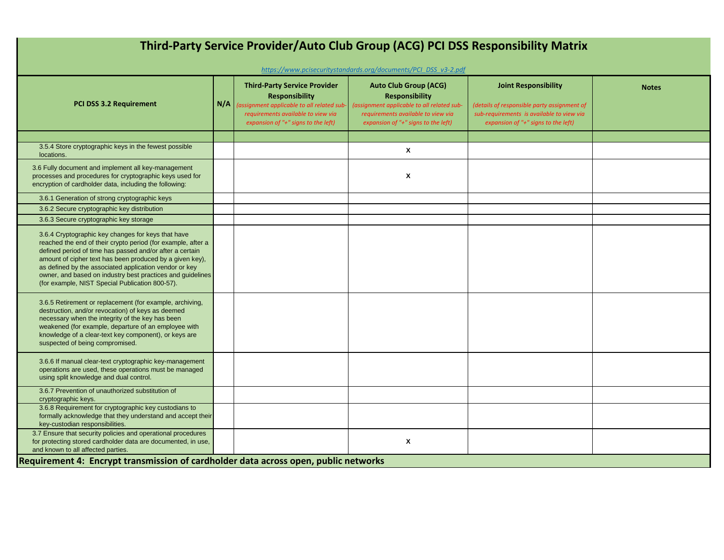| Third-Party Service Provider/Auto Club Group (ACG) PCI DSS Responsibility Matrix<br>https://www.pcisecuritystandards.org/documents/PCI_DSS_v3-2.pdf                                                                                                                                                                                                                                                                   |     |                                                                                                                                                                                        |                                                                                                                                                                                  |                                                                                                                                                                |              |  |  |
|-----------------------------------------------------------------------------------------------------------------------------------------------------------------------------------------------------------------------------------------------------------------------------------------------------------------------------------------------------------------------------------------------------------------------|-----|----------------------------------------------------------------------------------------------------------------------------------------------------------------------------------------|----------------------------------------------------------------------------------------------------------------------------------------------------------------------------------|----------------------------------------------------------------------------------------------------------------------------------------------------------------|--------------|--|--|
| <b>PCI DSS 3.2 Requirement</b>                                                                                                                                                                                                                                                                                                                                                                                        | N/A | <b>Third-Party Service Provider</b><br><b>Responsibility</b><br>assignment applicable to all related sub-<br>requirements available to view via<br>expansion of "+" signs to the left) | <b>Auto Club Group (ACG)</b><br><b>Responsibility</b><br>(assignment applicable to all related sub-<br>requirements available to view via<br>expansion of "+" signs to the left) | <b>Joint Responsibility</b><br>(details of responsible party assignment of<br>sub-requirements is available to view via<br>expansion of "+" signs to the left) | <b>Notes</b> |  |  |
| 3.5.4 Store cryptographic keys in the fewest possible<br>locations.                                                                                                                                                                                                                                                                                                                                                   |     |                                                                                                                                                                                        | X                                                                                                                                                                                |                                                                                                                                                                |              |  |  |
| 3.6 Fully document and implement all key-management<br>processes and procedures for cryptographic keys used for<br>encryption of cardholder data, including the following:                                                                                                                                                                                                                                            |     |                                                                                                                                                                                        | X                                                                                                                                                                                |                                                                                                                                                                |              |  |  |
| 3.6.1 Generation of strong cryptographic keys                                                                                                                                                                                                                                                                                                                                                                         |     |                                                                                                                                                                                        |                                                                                                                                                                                  |                                                                                                                                                                |              |  |  |
| 3.6.2 Secure cryptographic key distribution                                                                                                                                                                                                                                                                                                                                                                           |     |                                                                                                                                                                                        |                                                                                                                                                                                  |                                                                                                                                                                |              |  |  |
| 3.6.3 Secure cryptographic key storage                                                                                                                                                                                                                                                                                                                                                                                |     |                                                                                                                                                                                        |                                                                                                                                                                                  |                                                                                                                                                                |              |  |  |
| 3.6.4 Cryptographic key changes for keys that have<br>reached the end of their crypto period (for example, after a<br>defined period of time has passed and/or after a certain<br>amount of cipher text has been produced by a given key),<br>as defined by the associated application vendor or key<br>owner, and based on industry best practices and guidelines<br>(for example, NIST Special Publication 800-57). |     |                                                                                                                                                                                        |                                                                                                                                                                                  |                                                                                                                                                                |              |  |  |
| 3.6.5 Retirement or replacement (for example, archiving,<br>destruction, and/or revocation) of keys as deemed<br>necessary when the integrity of the key has been<br>weakened (for example, departure of an employee with<br>knowledge of a clear-text key component), or keys are<br>suspected of being compromised.                                                                                                 |     |                                                                                                                                                                                        |                                                                                                                                                                                  |                                                                                                                                                                |              |  |  |
| 3.6.6 If manual clear-text cryptographic key-management<br>operations are used, these operations must be managed<br>using split knowledge and dual control.                                                                                                                                                                                                                                                           |     |                                                                                                                                                                                        |                                                                                                                                                                                  |                                                                                                                                                                |              |  |  |
| 3.6.7 Prevention of unauthorized substitution of                                                                                                                                                                                                                                                                                                                                                                      |     |                                                                                                                                                                                        |                                                                                                                                                                                  |                                                                                                                                                                |              |  |  |
| cryptographic keys.<br>3.6.8 Requirement for cryptographic key custodians to<br>formally acknowledge that they understand and accept their<br>key-custodian responsibilities.                                                                                                                                                                                                                                         |     |                                                                                                                                                                                        |                                                                                                                                                                                  |                                                                                                                                                                |              |  |  |
| 3.7 Ensure that security policies and operational procedures<br>for protecting stored cardholder data are documented, in use,<br>and known to all affected parties.                                                                                                                                                                                                                                                   |     |                                                                                                                                                                                        | X                                                                                                                                                                                |                                                                                                                                                                |              |  |  |
| Requirement 4: Encrypt transmission of cardholder data across open, public networks                                                                                                                                                                                                                                                                                                                                   |     |                                                                                                                                                                                        |                                                                                                                                                                                  |                                                                                                                                                                |              |  |  |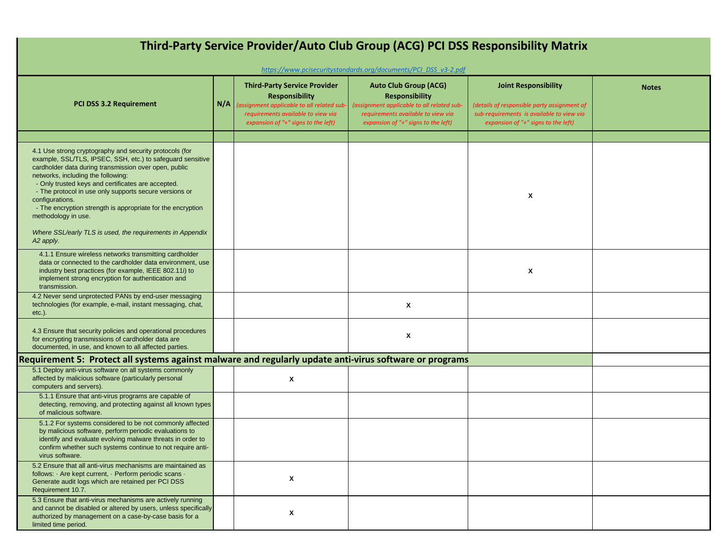| Third-Party Service Provider/Auto Club Group (ACG) PCI DSS Responsibility Matrix                                                                                                                                                                                                                                                                                                                                                                                                                                        |     |                                                                                                                                                                                         |                                                                                                                                                                                  |                                                                                                                                                                |              |  |  |  |
|-------------------------------------------------------------------------------------------------------------------------------------------------------------------------------------------------------------------------------------------------------------------------------------------------------------------------------------------------------------------------------------------------------------------------------------------------------------------------------------------------------------------------|-----|-----------------------------------------------------------------------------------------------------------------------------------------------------------------------------------------|----------------------------------------------------------------------------------------------------------------------------------------------------------------------------------|----------------------------------------------------------------------------------------------------------------------------------------------------------------|--------------|--|--|--|
| https://www.pcisecuritystandards.org/documents/PCI DSS v3-2.pdf                                                                                                                                                                                                                                                                                                                                                                                                                                                         |     |                                                                                                                                                                                         |                                                                                                                                                                                  |                                                                                                                                                                |              |  |  |  |
| <b>PCI DSS 3.2 Requirement</b>                                                                                                                                                                                                                                                                                                                                                                                                                                                                                          | N/A | <b>Third-Party Service Provider</b><br><b>Responsibility</b><br>(assignment applicable to all related sub-<br>requirements available to view via<br>expansion of "+" signs to the left) | <b>Auto Club Group (ACG)</b><br><b>Responsibility</b><br>(assignment applicable to all related sub-<br>requirements available to view via<br>expansion of "+" signs to the left) | <b>Joint Responsibility</b><br>(details of responsible party assignment of<br>sub-requirements is available to view via<br>expansion of "+" signs to the left) | <b>Notes</b> |  |  |  |
|                                                                                                                                                                                                                                                                                                                                                                                                                                                                                                                         |     |                                                                                                                                                                                         |                                                                                                                                                                                  |                                                                                                                                                                |              |  |  |  |
| 4.1 Use strong cryptography and security protocols (for<br>example, SSL/TLS, IPSEC, SSH, etc.) to safeguard sensitive<br>cardholder data during transmission over open, public<br>networks, including the following:<br>- Only trusted keys and certificates are accepted.<br>- The protocol in use only supports secure versions or<br>configurations.<br>- The encryption strength is appropriate for the encryption<br>methodology in use.<br>Where SSL/early TLS is used, the requirements in Appendix<br>A2 apply. |     |                                                                                                                                                                                         |                                                                                                                                                                                  | X                                                                                                                                                              |              |  |  |  |
| 4.1.1 Ensure wireless networks transmitting cardholder<br>data or connected to the cardholder data environment, use<br>industry best practices (for example, IEEE 802.11i) to<br>implement strong encryption for authentication and<br>transmission.                                                                                                                                                                                                                                                                    |     |                                                                                                                                                                                         |                                                                                                                                                                                  | X                                                                                                                                                              |              |  |  |  |
| 4.2 Never send unprotected PANs by end-user messaging<br>technologies (for example, e-mail, instant messaging, chat,<br>$etc.$ ).                                                                                                                                                                                                                                                                                                                                                                                       |     |                                                                                                                                                                                         | X                                                                                                                                                                                |                                                                                                                                                                |              |  |  |  |
| 4.3 Ensure that security policies and operational procedures<br>for encrypting transmissions of cardholder data are<br>documented, in use, and known to all affected parties.                                                                                                                                                                                                                                                                                                                                           |     |                                                                                                                                                                                         | X                                                                                                                                                                                |                                                                                                                                                                |              |  |  |  |
| Requirement 5: Protect all systems against malware and regularly update anti-virus software or programs                                                                                                                                                                                                                                                                                                                                                                                                                 |     |                                                                                                                                                                                         |                                                                                                                                                                                  |                                                                                                                                                                |              |  |  |  |
| 5.1 Deploy anti-virus software on all systems commonly<br>affected by malicious software (particularly personal<br>computers and servers).                                                                                                                                                                                                                                                                                                                                                                              |     | X                                                                                                                                                                                       |                                                                                                                                                                                  |                                                                                                                                                                |              |  |  |  |
| 5.1.1 Ensure that anti-virus programs are capable of<br>detecting, removing, and protecting against all known types<br>of malicious software.                                                                                                                                                                                                                                                                                                                                                                           |     |                                                                                                                                                                                         |                                                                                                                                                                                  |                                                                                                                                                                |              |  |  |  |
| 5.1.2 For systems considered to be not commonly affected<br>by malicious software, perform periodic evaluations to<br>identify and evaluate evolving malware threats in order to<br>confirm whether such systems continue to not require anti-<br>virus software.                                                                                                                                                                                                                                                       |     |                                                                                                                                                                                         |                                                                                                                                                                                  |                                                                                                                                                                |              |  |  |  |
| 5.2 Ensure that all anti-virus mechanisms are maintained as<br>follows: Are kept current, Perform periodic scans .<br>Generate audit logs which are retained per PCI DSS<br>Requirement 10.7.                                                                                                                                                                                                                                                                                                                           |     | X                                                                                                                                                                                       |                                                                                                                                                                                  |                                                                                                                                                                |              |  |  |  |
| 5.3 Ensure that anti-virus mechanisms are actively running<br>and cannot be disabled or altered by users, unless specifically<br>authorized by management on a case-by-case basis for a<br>limited time period.                                                                                                                                                                                                                                                                                                         |     | X                                                                                                                                                                                       |                                                                                                                                                                                  |                                                                                                                                                                |              |  |  |  |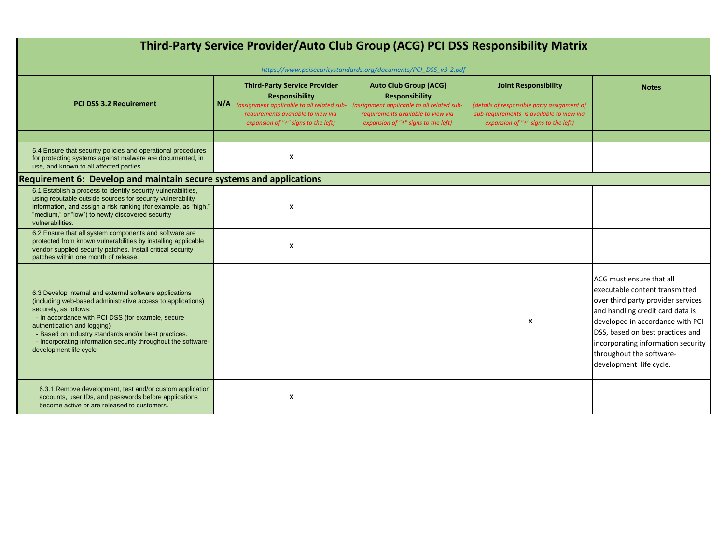| Third-Party Service Provider/Auto Club Group (ACG) PCI DSS Responsibility Matrix                                                                                                                                                                                                                                                                                                       |     |                                                                                                                                                                                         |                                                                                                                                                                                  |                                                                                                                                                                |                                                                                                                                                                                                                                                                                                            |  |  |
|----------------------------------------------------------------------------------------------------------------------------------------------------------------------------------------------------------------------------------------------------------------------------------------------------------------------------------------------------------------------------------------|-----|-----------------------------------------------------------------------------------------------------------------------------------------------------------------------------------------|----------------------------------------------------------------------------------------------------------------------------------------------------------------------------------|----------------------------------------------------------------------------------------------------------------------------------------------------------------|------------------------------------------------------------------------------------------------------------------------------------------------------------------------------------------------------------------------------------------------------------------------------------------------------------|--|--|
|                                                                                                                                                                                                                                                                                                                                                                                        |     |                                                                                                                                                                                         | https://www.pcisecuritystandards.org/documents/PCI DSS v3-2.pdf                                                                                                                  |                                                                                                                                                                |                                                                                                                                                                                                                                                                                                            |  |  |
| PCI DSS 3.2 Requirement                                                                                                                                                                                                                                                                                                                                                                | N/A | <b>Third-Party Service Provider</b><br><b>Responsibility</b><br>(assignment applicable to all related sub-<br>requirements available to view via<br>expansion of "+" signs to the left) | <b>Auto Club Group (ACG)</b><br><b>Responsibility</b><br>(assignment applicable to all related sub-<br>requirements available to view via<br>expansion of "+" signs to the left) | <b>Joint Responsibility</b><br>(details of responsible party assignment of<br>sub-requirements is available to view via<br>expansion of "+" signs to the left) | <b>Notes</b>                                                                                                                                                                                                                                                                                               |  |  |
|                                                                                                                                                                                                                                                                                                                                                                                        |     |                                                                                                                                                                                         |                                                                                                                                                                                  |                                                                                                                                                                |                                                                                                                                                                                                                                                                                                            |  |  |
| 5.4 Ensure that security policies and operational procedures<br>for protecting systems against malware are documented, in<br>use, and known to all affected parties.                                                                                                                                                                                                                   |     | X                                                                                                                                                                                       |                                                                                                                                                                                  |                                                                                                                                                                |                                                                                                                                                                                                                                                                                                            |  |  |
| <b>Requirement 6: Develop and maintain secure systems and applications</b>                                                                                                                                                                                                                                                                                                             |     |                                                                                                                                                                                         |                                                                                                                                                                                  |                                                                                                                                                                |                                                                                                                                                                                                                                                                                                            |  |  |
| 6.1 Establish a process to identify security vulnerabilities,<br>using reputable outside sources for security vulnerability<br>information, and assign a risk ranking (for example, as "high,"<br>"medium," or "low") to newly discovered security<br>vulnerabilities.                                                                                                                 |     | X                                                                                                                                                                                       |                                                                                                                                                                                  |                                                                                                                                                                |                                                                                                                                                                                                                                                                                                            |  |  |
| 6.2 Ensure that all system components and software are<br>protected from known vulnerabilities by installing applicable<br>vendor supplied security patches. Install critical security<br>patches within one month of release.                                                                                                                                                         |     | X                                                                                                                                                                                       |                                                                                                                                                                                  |                                                                                                                                                                |                                                                                                                                                                                                                                                                                                            |  |  |
| 6.3 Develop internal and external software applications<br>(including web-based administrative access to applications)<br>securely, as follows:<br>- In accordance with PCI DSS (for example, secure<br>authentication and logging)<br>- Based on industry standards and/or best practices.<br>- Incorporating information security throughout the software-<br>development life cycle |     |                                                                                                                                                                                         |                                                                                                                                                                                  | X                                                                                                                                                              | LACG must ensure that all<br>executable content transmitted<br>over third party provider services<br>and handling credit card data is<br>developed in accordance with PCI<br>DSS, based on best practices and<br>incorporating information security<br>throughout the software-<br>development life cycle. |  |  |
| 6.3.1 Remove development, test and/or custom application<br>accounts, user IDs, and passwords before applications<br>become active or are released to customers.                                                                                                                                                                                                                       |     | X                                                                                                                                                                                       |                                                                                                                                                                                  |                                                                                                                                                                |                                                                                                                                                                                                                                                                                                            |  |  |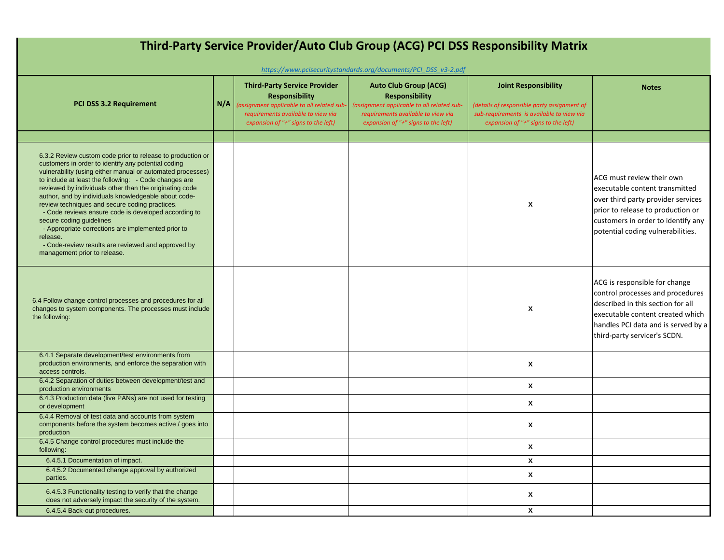| Third-Party Service Provider/Auto Club Group (ACG) PCI DSS Responsibility Matrix<br>https://www.pcisecuritystandards.org/documents/PCI DSS v3-2.pdf                                                                                                                                                                                                                                                                                                                                                                                                                                                                                                       |     |                                                                                                                                                                                       |                                                                                                                                                                                      |                                                                                                                                                                |                                                                                                                                                                                                                   |  |  |
|-----------------------------------------------------------------------------------------------------------------------------------------------------------------------------------------------------------------------------------------------------------------------------------------------------------------------------------------------------------------------------------------------------------------------------------------------------------------------------------------------------------------------------------------------------------------------------------------------------------------------------------------------------------|-----|---------------------------------------------------------------------------------------------------------------------------------------------------------------------------------------|--------------------------------------------------------------------------------------------------------------------------------------------------------------------------------------|----------------------------------------------------------------------------------------------------------------------------------------------------------------|-------------------------------------------------------------------------------------------------------------------------------------------------------------------------------------------------------------------|--|--|
| <b>PCI DSS 3.2 Requirement</b>                                                                                                                                                                                                                                                                                                                                                                                                                                                                                                                                                                                                                            | N/A | <b>Third-Party Service Provider</b><br><b>Responsibility</b><br>assignment applicable to all related sub<br>requirements available to view via<br>expansion of "+" signs to the left) | <b>Auto Club Group (ACG)</b><br><b>Responsibility</b><br>(assignment applicable to all related sub-<br>requirements available to view via<br>expansion of " $+$ " signs to the left) | <b>Joint Responsibility</b><br>(details of responsible party assignment of<br>sub-requirements is available to view via<br>expansion of "+" signs to the left) | <b>Notes</b>                                                                                                                                                                                                      |  |  |
|                                                                                                                                                                                                                                                                                                                                                                                                                                                                                                                                                                                                                                                           |     |                                                                                                                                                                                       |                                                                                                                                                                                      |                                                                                                                                                                |                                                                                                                                                                                                                   |  |  |
| 6.3.2 Review custom code prior to release to production or<br>customers in order to identify any potential coding<br>vulnerability (using either manual or automated processes)<br>to include at least the following: - Code changes are<br>reviewed by individuals other than the originating code<br>author, and by individuals knowledgeable about code-<br>review techniques and secure coding practices.<br>- Code reviews ensure code is developed according to<br>secure coding guidelines<br>- Appropriate corrections are implemented prior to<br>release.<br>- Code-review results are reviewed and approved by<br>management prior to release. |     |                                                                                                                                                                                       |                                                                                                                                                                                      | X                                                                                                                                                              | ACG must review their own<br>executable content transmitted<br>over third party provider services<br>prior to release to production or<br>customers in order to identify any<br>potential coding vulnerabilities. |  |  |
| 6.4 Follow change control processes and procedures for all<br>changes to system components. The processes must include<br>the following:                                                                                                                                                                                                                                                                                                                                                                                                                                                                                                                  |     |                                                                                                                                                                                       |                                                                                                                                                                                      | X                                                                                                                                                              | ACG is responsible for change<br>control processes and procedures<br>described in this section for all<br>executable content created which<br>handles PCI data and is served by a<br>third-party servicer's SCDN. |  |  |
| 6.4.1 Separate development/test environments from<br>production environments, and enforce the separation with<br>access controls.                                                                                                                                                                                                                                                                                                                                                                                                                                                                                                                         |     |                                                                                                                                                                                       |                                                                                                                                                                                      | X                                                                                                                                                              |                                                                                                                                                                                                                   |  |  |
| 6.4.2 Separation of duties between development/test and<br>production environments                                                                                                                                                                                                                                                                                                                                                                                                                                                                                                                                                                        |     |                                                                                                                                                                                       |                                                                                                                                                                                      | X                                                                                                                                                              |                                                                                                                                                                                                                   |  |  |
| 6.4.3 Production data (live PANs) are not used for testing<br>or development                                                                                                                                                                                                                                                                                                                                                                                                                                                                                                                                                                              |     |                                                                                                                                                                                       |                                                                                                                                                                                      | X                                                                                                                                                              |                                                                                                                                                                                                                   |  |  |
| 6.4.4 Removal of test data and accounts from system<br>components before the system becomes active / goes into<br>production                                                                                                                                                                                                                                                                                                                                                                                                                                                                                                                              |     |                                                                                                                                                                                       |                                                                                                                                                                                      | X                                                                                                                                                              |                                                                                                                                                                                                                   |  |  |
| 6.4.5 Change control procedures must include the<br>following:                                                                                                                                                                                                                                                                                                                                                                                                                                                                                                                                                                                            |     |                                                                                                                                                                                       |                                                                                                                                                                                      | X                                                                                                                                                              |                                                                                                                                                                                                                   |  |  |
| 6.4.5.1 Documentation of impact.                                                                                                                                                                                                                                                                                                                                                                                                                                                                                                                                                                                                                          |     |                                                                                                                                                                                       |                                                                                                                                                                                      | X                                                                                                                                                              |                                                                                                                                                                                                                   |  |  |
| 6.4.5.2 Documented change approval by authorized<br>parties.                                                                                                                                                                                                                                                                                                                                                                                                                                                                                                                                                                                              |     |                                                                                                                                                                                       |                                                                                                                                                                                      | X                                                                                                                                                              |                                                                                                                                                                                                                   |  |  |
| 6.4.5.3 Functionality testing to verify that the change<br>does not adversely impact the security of the system.                                                                                                                                                                                                                                                                                                                                                                                                                                                                                                                                          |     |                                                                                                                                                                                       |                                                                                                                                                                                      | X                                                                                                                                                              |                                                                                                                                                                                                                   |  |  |
| 6.4.5.4 Back-out procedures.                                                                                                                                                                                                                                                                                                                                                                                                                                                                                                                                                                                                                              |     |                                                                                                                                                                                       |                                                                                                                                                                                      | X                                                                                                                                                              |                                                                                                                                                                                                                   |  |  |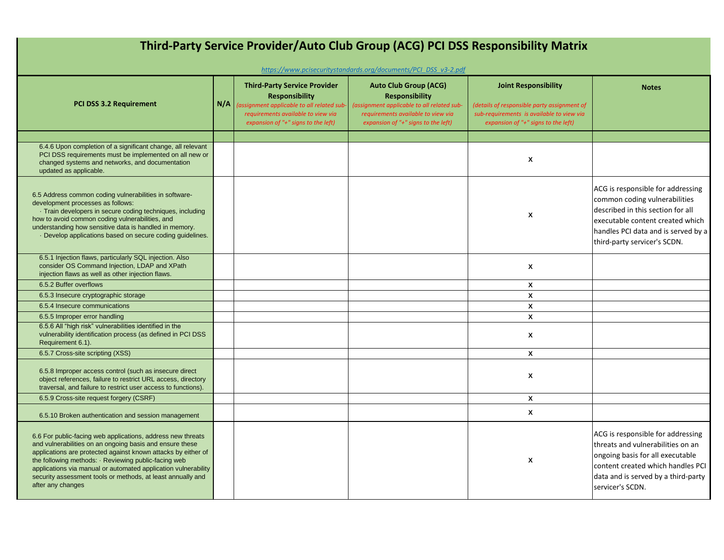| Third-Party Service Provider/Auto Club Group (ACG) PCI DSS Responsibility Matrix                                                                                                                                                                                                                                                                                                                       |     |                                                                                                                                                                                         |                                                                                                                                                                                  |                                                                                                                                                                |                                                                                                                                                                                                                    |  |  |
|--------------------------------------------------------------------------------------------------------------------------------------------------------------------------------------------------------------------------------------------------------------------------------------------------------------------------------------------------------------------------------------------------------|-----|-----------------------------------------------------------------------------------------------------------------------------------------------------------------------------------------|----------------------------------------------------------------------------------------------------------------------------------------------------------------------------------|----------------------------------------------------------------------------------------------------------------------------------------------------------------|--------------------------------------------------------------------------------------------------------------------------------------------------------------------------------------------------------------------|--|--|
|                                                                                                                                                                                                                                                                                                                                                                                                        |     |                                                                                                                                                                                         | https://www.pcisecuritystandards.org/documents/PCI DSS v3-2.pdf                                                                                                                  |                                                                                                                                                                |                                                                                                                                                                                                                    |  |  |
| <b>PCI DSS 3.2 Requirement</b>                                                                                                                                                                                                                                                                                                                                                                         | N/A | <b>Third-Party Service Provider</b><br><b>Responsibility</b><br>(assignment applicable to all related sub-<br>requirements available to view via<br>expansion of "+" signs to the left) | <b>Auto Club Group (ACG)</b><br><b>Responsibility</b><br>(assignment applicable to all related sub-<br>requirements available to view via<br>expansion of "+" signs to the left) | <b>Joint Responsibility</b><br>(details of responsible party assignment of<br>sub-requirements is available to view via<br>expansion of "+" signs to the left) | <b>Notes</b>                                                                                                                                                                                                       |  |  |
|                                                                                                                                                                                                                                                                                                                                                                                                        |     |                                                                                                                                                                                         |                                                                                                                                                                                  |                                                                                                                                                                |                                                                                                                                                                                                                    |  |  |
| 6.4.6 Upon completion of a significant change, all relevant<br>PCI DSS requirements must be implemented on all new or<br>changed systems and networks, and documentation<br>updated as applicable.                                                                                                                                                                                                     |     |                                                                                                                                                                                         |                                                                                                                                                                                  | $\boldsymbol{\mathsf{x}}$                                                                                                                                      |                                                                                                                                                                                                                    |  |  |
| 6.5 Address common coding vulnerabilities in software-<br>development processes as follows:<br>Train developers in secure coding techniques, including<br>how to avoid common coding vulnerabilities, and<br>understanding how sensitive data is handled in memory.<br>Develop applications based on secure coding guidelines.                                                                         |     |                                                                                                                                                                                         |                                                                                                                                                                                  | X                                                                                                                                                              | ACG is responsible for addressing<br>common coding vulnerabilities<br>described in this section for all<br>executable content created which<br>handles PCI data and is served by a<br>third-party servicer's SCDN. |  |  |
| 6.5.1 Injection flaws, particularly SQL injection. Also<br>consider OS Command Injection, LDAP and XPath<br>injection flaws as well as other injection flaws.                                                                                                                                                                                                                                          |     |                                                                                                                                                                                         |                                                                                                                                                                                  | X                                                                                                                                                              |                                                                                                                                                                                                                    |  |  |
| 6.5.2 Buffer overflows                                                                                                                                                                                                                                                                                                                                                                                 |     |                                                                                                                                                                                         |                                                                                                                                                                                  | X                                                                                                                                                              |                                                                                                                                                                                                                    |  |  |
| 6.5.3 Insecure cryptographic storage                                                                                                                                                                                                                                                                                                                                                                   |     |                                                                                                                                                                                         |                                                                                                                                                                                  | X                                                                                                                                                              |                                                                                                                                                                                                                    |  |  |
| 6.5.4 Insecure communications                                                                                                                                                                                                                                                                                                                                                                          |     |                                                                                                                                                                                         |                                                                                                                                                                                  | $\pmb{\mathsf{X}}$                                                                                                                                             |                                                                                                                                                                                                                    |  |  |
| 6.5.5 Improper error handling                                                                                                                                                                                                                                                                                                                                                                          |     |                                                                                                                                                                                         |                                                                                                                                                                                  | $\boldsymbol{x}$                                                                                                                                               |                                                                                                                                                                                                                    |  |  |
| 6.5.6 All "high risk" vulnerabilities identified in the<br>vulnerability identification process (as defined in PCI DSS<br>Requirement 6.1).                                                                                                                                                                                                                                                            |     |                                                                                                                                                                                         |                                                                                                                                                                                  | X                                                                                                                                                              |                                                                                                                                                                                                                    |  |  |
| 6.5.7 Cross-site scripting (XSS)                                                                                                                                                                                                                                                                                                                                                                       |     |                                                                                                                                                                                         |                                                                                                                                                                                  | $\mathbf{x}$                                                                                                                                                   |                                                                                                                                                                                                                    |  |  |
| 6.5.8 Improper access control (such as insecure direct<br>object references, failure to restrict URL access, directory<br>traversal, and failure to restrict user access to functions).                                                                                                                                                                                                                |     |                                                                                                                                                                                         |                                                                                                                                                                                  | X                                                                                                                                                              |                                                                                                                                                                                                                    |  |  |
| 6.5.9 Cross-site request forgery (CSRF)                                                                                                                                                                                                                                                                                                                                                                |     |                                                                                                                                                                                         |                                                                                                                                                                                  | X                                                                                                                                                              |                                                                                                                                                                                                                    |  |  |
| 6.5.10 Broken authentication and session management                                                                                                                                                                                                                                                                                                                                                    |     |                                                                                                                                                                                         |                                                                                                                                                                                  | $\mathbf{x}$                                                                                                                                                   |                                                                                                                                                                                                                    |  |  |
| 6.6 For public-facing web applications, address new threats<br>and vulnerabilities on an ongoing basis and ensure these<br>applications are protected against known attacks by either of<br>the following methods: · Reviewing public-facing web<br>applications via manual or automated application vulnerability<br>security assessment tools or methods, at least annually and<br>after any changes |     |                                                                                                                                                                                         |                                                                                                                                                                                  | X                                                                                                                                                              | ACG is responsible for addressing<br>threats and vulnerabilities on an<br>ongoing basis for all executable<br>content created which handles PCI<br>data and is served by a third-party<br>servicer's SCDN.         |  |  |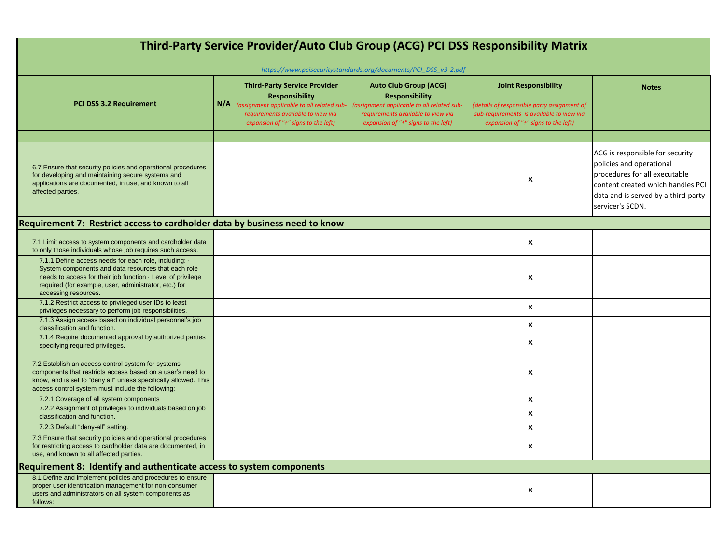| Third-Party Service Provider/Auto Club Group (ACG) PCI DSS Responsibility Matrix                                                                                                                                                                                   |     |                                                                                                                                                                                         |                                                                                                                                                                                  |                                                                                                                                                                |                                                                                                                                                                                              |  |
|--------------------------------------------------------------------------------------------------------------------------------------------------------------------------------------------------------------------------------------------------------------------|-----|-----------------------------------------------------------------------------------------------------------------------------------------------------------------------------------------|----------------------------------------------------------------------------------------------------------------------------------------------------------------------------------|----------------------------------------------------------------------------------------------------------------------------------------------------------------|----------------------------------------------------------------------------------------------------------------------------------------------------------------------------------------------|--|
|                                                                                                                                                                                                                                                                    |     |                                                                                                                                                                                         | https://www.pcisecuritystandards.org/documents/PCI DSS v3-2.pdf                                                                                                                  |                                                                                                                                                                |                                                                                                                                                                                              |  |
| <b>PCI DSS 3.2 Requirement</b>                                                                                                                                                                                                                                     | N/A | <b>Third-Party Service Provider</b><br><b>Responsibility</b><br>(assignment applicable to all related sub-<br>requirements available to view via<br>expansion of "+" signs to the left) | <b>Auto Club Group (ACG)</b><br><b>Responsibility</b><br>(assignment applicable to all related sub-<br>requirements available to view via<br>expansion of "+" signs to the left) | <b>Joint Responsibility</b><br>(details of responsible party assignment of<br>sub-requirements is available to view via<br>expansion of "+" signs to the left) | <b>Notes</b>                                                                                                                                                                                 |  |
|                                                                                                                                                                                                                                                                    |     |                                                                                                                                                                                         |                                                                                                                                                                                  |                                                                                                                                                                |                                                                                                                                                                                              |  |
| 6.7 Ensure that security policies and operational procedures<br>for developing and maintaining secure systems and<br>applications are documented, in use, and known to all<br>affected parties.                                                                    |     |                                                                                                                                                                                         |                                                                                                                                                                                  | X                                                                                                                                                              | ACG is responsible for security<br>policies and operational<br>procedures for all executable<br>content created which handles PCI<br>data and is served by a third-party<br>servicer's SCDN. |  |
| Requirement 7: Restrict access to cardholder data by business need to know                                                                                                                                                                                         |     |                                                                                                                                                                                         |                                                                                                                                                                                  |                                                                                                                                                                |                                                                                                                                                                                              |  |
| 7.1 Limit access to system components and cardholder data<br>to only those individuals whose job requires such access.                                                                                                                                             |     |                                                                                                                                                                                         |                                                                                                                                                                                  | X                                                                                                                                                              |                                                                                                                                                                                              |  |
| 7.1.1 Define access needs for each role, including: .<br>System components and data resources that each role<br>needs to access for their job function $\cdot$ Level of privilege<br>required (for example, user, administrator, etc.) for<br>accessing resources. |     |                                                                                                                                                                                         |                                                                                                                                                                                  | X                                                                                                                                                              |                                                                                                                                                                                              |  |
| 7.1.2 Restrict access to privileged user IDs to least<br>privileges necessary to perform job responsibilities.                                                                                                                                                     |     |                                                                                                                                                                                         |                                                                                                                                                                                  | X                                                                                                                                                              |                                                                                                                                                                                              |  |
| 7.1.3 Assign access based on individual personnel's job<br>classification and function.                                                                                                                                                                            |     |                                                                                                                                                                                         |                                                                                                                                                                                  | X                                                                                                                                                              |                                                                                                                                                                                              |  |
| 7.1.4 Require documented approval by authorized parties<br>specifying required privileges.                                                                                                                                                                         |     |                                                                                                                                                                                         |                                                                                                                                                                                  | X                                                                                                                                                              |                                                                                                                                                                                              |  |
| 7.2 Establish an access control system for systems<br>components that restricts access based on a user's need to<br>know, and is set to "deny all" unless specifically allowed. This<br>access control system must include the following:                          |     |                                                                                                                                                                                         |                                                                                                                                                                                  | X                                                                                                                                                              |                                                                                                                                                                                              |  |
| 7.2.1 Coverage of all system components                                                                                                                                                                                                                            |     |                                                                                                                                                                                         |                                                                                                                                                                                  | X                                                                                                                                                              |                                                                                                                                                                                              |  |
| 7.2.2 Assignment of privileges to individuals based on job<br>classification and function.                                                                                                                                                                         |     |                                                                                                                                                                                         |                                                                                                                                                                                  | X                                                                                                                                                              |                                                                                                                                                                                              |  |
| 7.2.3 Default "deny-all" setting.                                                                                                                                                                                                                                  |     |                                                                                                                                                                                         |                                                                                                                                                                                  | $\mathbf{x}$                                                                                                                                                   |                                                                                                                                                                                              |  |
| 7.3 Ensure that security policies and operational procedures<br>for restricting access to cardholder data are documented, in<br>use, and known to all affected parties.                                                                                            |     |                                                                                                                                                                                         |                                                                                                                                                                                  | X                                                                                                                                                              |                                                                                                                                                                                              |  |
| Requirement 8: Identify and authenticate access to system components                                                                                                                                                                                               |     |                                                                                                                                                                                         |                                                                                                                                                                                  |                                                                                                                                                                |                                                                                                                                                                                              |  |
| 8.1 Define and implement policies and procedures to ensure<br>proper user identification management for non-consumer<br>users and administrators on all system components as<br>follows:                                                                           |     |                                                                                                                                                                                         |                                                                                                                                                                                  | X                                                                                                                                                              |                                                                                                                                                                                              |  |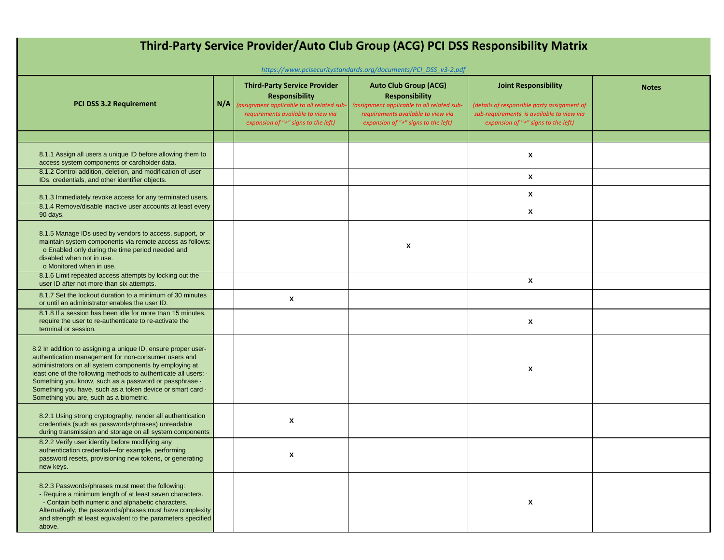| Third-Party Service Provider/Auto Club Group (ACG) PCI DSS Responsibility Matrix<br>https://www.pcisecuritystandards.org/documents/PCI DSS v3-2.pdf                                                                                                                                                                                                                                                                    |     |                                                                                                                                                                                        |                                                                                                                                                                                  |                                                                                                                                                                |              |  |  |
|------------------------------------------------------------------------------------------------------------------------------------------------------------------------------------------------------------------------------------------------------------------------------------------------------------------------------------------------------------------------------------------------------------------------|-----|----------------------------------------------------------------------------------------------------------------------------------------------------------------------------------------|----------------------------------------------------------------------------------------------------------------------------------------------------------------------------------|----------------------------------------------------------------------------------------------------------------------------------------------------------------|--------------|--|--|
| PCI DSS 3.2 Requirement                                                                                                                                                                                                                                                                                                                                                                                                | N/A | <b>Third-Party Service Provider</b><br><b>Responsibility</b><br>(assignment applicable to all related sub<br>requirements available to view via<br>expansion of "+" signs to the left) | <b>Auto Club Group (ACG)</b><br><b>Responsibility</b><br>(assignment applicable to all related sub-<br>requirements available to view via<br>expansion of "+" signs to the left) | <b>Joint Responsibility</b><br>(details of responsible party assignment of<br>sub-requirements is available to view via<br>expansion of "+" signs to the left) | <b>Notes</b> |  |  |
|                                                                                                                                                                                                                                                                                                                                                                                                                        |     |                                                                                                                                                                                        |                                                                                                                                                                                  |                                                                                                                                                                |              |  |  |
| 8.1.1 Assign all users a unique ID before allowing them to<br>access system components or cardholder data.                                                                                                                                                                                                                                                                                                             |     |                                                                                                                                                                                        |                                                                                                                                                                                  | X                                                                                                                                                              |              |  |  |
| 8.1.2 Control addition, deletion, and modification of user<br>IDs, credentials, and other identifier objects.                                                                                                                                                                                                                                                                                                          |     |                                                                                                                                                                                        |                                                                                                                                                                                  | X                                                                                                                                                              |              |  |  |
| 8.1.3 Immediately revoke access for any terminated users.                                                                                                                                                                                                                                                                                                                                                              |     |                                                                                                                                                                                        |                                                                                                                                                                                  | X                                                                                                                                                              |              |  |  |
| 8.1.4 Remove/disable inactive user accounts at least every<br>90 days.                                                                                                                                                                                                                                                                                                                                                 |     |                                                                                                                                                                                        |                                                                                                                                                                                  | X                                                                                                                                                              |              |  |  |
| 8.1.5 Manage IDs used by vendors to access, support, or<br>maintain system components via remote access as follows:<br>o Enabled only during the time period needed and<br>disabled when not in use.<br>o Monitored when in use.                                                                                                                                                                                       |     |                                                                                                                                                                                        | X                                                                                                                                                                                |                                                                                                                                                                |              |  |  |
| 8.1.6 Limit repeated access attempts by locking out the<br>user ID after not more than six attempts.                                                                                                                                                                                                                                                                                                                   |     |                                                                                                                                                                                        |                                                                                                                                                                                  | X                                                                                                                                                              |              |  |  |
| 8.1.7 Set the lockout duration to a minimum of 30 minutes<br>or until an administrator enables the user ID.                                                                                                                                                                                                                                                                                                            |     | X                                                                                                                                                                                      |                                                                                                                                                                                  |                                                                                                                                                                |              |  |  |
| 8.1.8 If a session has been idle for more than 15 minutes.<br>require the user to re-authenticate to re-activate the<br>terminal or session.                                                                                                                                                                                                                                                                           |     |                                                                                                                                                                                        |                                                                                                                                                                                  | X                                                                                                                                                              |              |  |  |
| 8.2 In addition to assigning a unique ID, ensure proper user-<br>authentication management for non-consumer users and<br>administrators on all system components by employing at<br>least one of the following methods to authenticate all users: .<br>Something you know, such as a password or passphrase .<br>Something you have, such as a token device or smart card .<br>Something you are, such as a biometric. |     |                                                                                                                                                                                        |                                                                                                                                                                                  | X                                                                                                                                                              |              |  |  |
| 8.2.1 Using strong cryptography, render all authentication<br>credentials (such as passwords/phrases) unreadable<br>during transmission and storage on all system components                                                                                                                                                                                                                                           |     | X                                                                                                                                                                                      |                                                                                                                                                                                  |                                                                                                                                                                |              |  |  |
| 8.2.2 Verify user identity before modifying any<br>authentication credential-for example, performing<br>password resets, provisioning new tokens, or generating<br>new keys.                                                                                                                                                                                                                                           |     | X                                                                                                                                                                                      |                                                                                                                                                                                  |                                                                                                                                                                |              |  |  |
| 8.2.3 Passwords/phrases must meet the following:<br>- Require a minimum length of at least seven characters.<br>- Contain both numeric and alphabetic characters.<br>Alternatively, the passwords/phrases must have complexity<br>and strength at least equivalent to the parameters specified<br>above.                                                                                                               |     |                                                                                                                                                                                        |                                                                                                                                                                                  | X                                                                                                                                                              |              |  |  |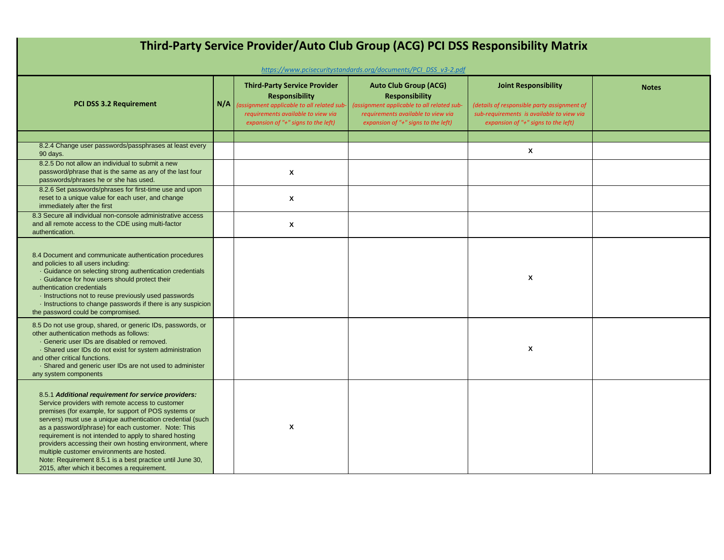| Third-Party Service Provider/Auto Club Group (ACG) PCI DSS Responsibility Matrix<br>https://www.pcisecuritystandards.org/documents/PCI_DSS_v3-2.pdf                                                                                                                                                                                                                                                                                                                                                                                                                  |     |                                                                                                                                                  |                                                                                                                                           |                                                                                                                         |              |  |  |
|----------------------------------------------------------------------------------------------------------------------------------------------------------------------------------------------------------------------------------------------------------------------------------------------------------------------------------------------------------------------------------------------------------------------------------------------------------------------------------------------------------------------------------------------------------------------|-----|--------------------------------------------------------------------------------------------------------------------------------------------------|-------------------------------------------------------------------------------------------------------------------------------------------|-------------------------------------------------------------------------------------------------------------------------|--------------|--|--|
| <b>PCI DSS 3.2 Requirement</b>                                                                                                                                                                                                                                                                                                                                                                                                                                                                                                                                       | N/A | <b>Third-Party Service Provider</b><br><b>Responsibility</b><br>(assignment applicable to all related sub-<br>requirements available to view via | <b>Auto Club Group (ACG)</b><br><b>Responsibility</b><br>(assignment applicable to all related sub-<br>requirements available to view via | <b>Joint Responsibility</b><br>(details of responsible party assignment of<br>sub-requirements is available to view via | <b>Notes</b> |  |  |
|                                                                                                                                                                                                                                                                                                                                                                                                                                                                                                                                                                      |     | expansion of "+" signs to the left)                                                                                                              | expansion of "+" signs to the left)                                                                                                       | expansion of "+" signs to the left)                                                                                     |              |  |  |
| 8.2.4 Change user passwords/passphrases at least every<br>90 days.                                                                                                                                                                                                                                                                                                                                                                                                                                                                                                   |     |                                                                                                                                                  |                                                                                                                                           | X                                                                                                                       |              |  |  |
| 8.2.5 Do not allow an individual to submit a new<br>password/phrase that is the same as any of the last four<br>passwords/phrases he or she has used.                                                                                                                                                                                                                                                                                                                                                                                                                |     | X                                                                                                                                                |                                                                                                                                           |                                                                                                                         |              |  |  |
| 8.2.6 Set passwords/phrases for first-time use and upon<br>reset to a unique value for each user, and change<br>immediately after the first                                                                                                                                                                                                                                                                                                                                                                                                                          |     | X                                                                                                                                                |                                                                                                                                           |                                                                                                                         |              |  |  |
| 8.3 Secure all individual non-console administrative access<br>and all remote access to the CDE using multi-factor<br>authentication.                                                                                                                                                                                                                                                                                                                                                                                                                                |     | X                                                                                                                                                |                                                                                                                                           |                                                                                                                         |              |  |  |
| 8.4 Document and communicate authentication procedures<br>and policies to all users including:<br>. Guidance on selecting strong authentication credentials<br>· Guidance for how users should protect their<br>authentication credentials<br>· Instructions not to reuse previously used passwords<br>Instructions to change passwords if there is any suspicion<br>the password could be compromised.                                                                                                                                                              |     |                                                                                                                                                  |                                                                                                                                           | $\boldsymbol{\mathsf{x}}$                                                                                               |              |  |  |
| 8.5 Do not use group, shared, or generic IDs, passwords, or<br>other authentication methods as follows:<br>· Generic user IDs are disabled or removed.<br>· Shared user IDs do not exist for system administration<br>and other critical functions.<br>· Shared and generic user IDs are not used to administer<br>any system components                                                                                                                                                                                                                             |     |                                                                                                                                                  |                                                                                                                                           | $\boldsymbol{\mathsf{x}}$                                                                                               |              |  |  |
| 8.5.1 Additional requirement for service providers:<br>Service providers with remote access to customer<br>premises (for example, for support of POS systems or<br>servers) must use a unique authentication credential (such<br>as a password/phrase) for each customer. Note: This<br>requirement is not intended to apply to shared hosting<br>providers accessing their own hosting environment, where<br>multiple customer environments are hosted.<br>Note: Requirement 8.5.1 is a best practice until June 30,<br>2015, after which it becomes a requirement. |     | X                                                                                                                                                |                                                                                                                                           |                                                                                                                         |              |  |  |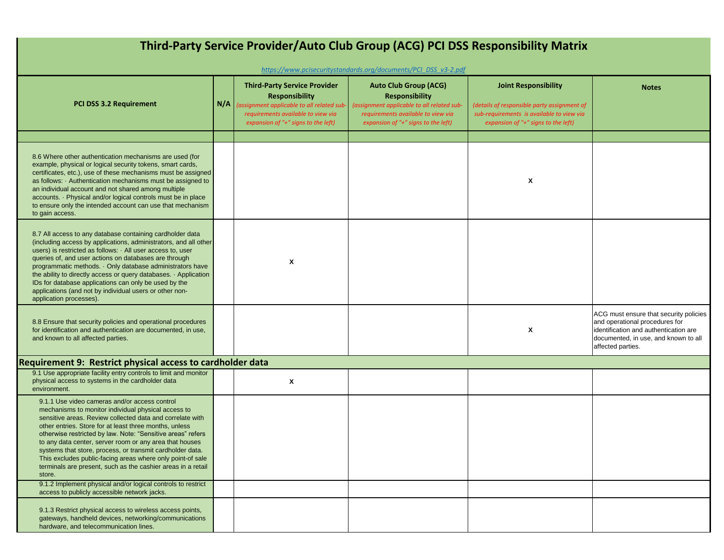| Third-Party Service Provider/Auto Club Group (ACG) PCI DSS Responsibility Matrix                                                                                                                                                                                                                                                                                                                                                                                                                                                                           |     |                                                                                                                                                                                         |                                                                                                                                                                                  |                                                                                                                                                                |                                                                                                                                                                                |  |  |
|------------------------------------------------------------------------------------------------------------------------------------------------------------------------------------------------------------------------------------------------------------------------------------------------------------------------------------------------------------------------------------------------------------------------------------------------------------------------------------------------------------------------------------------------------------|-----|-----------------------------------------------------------------------------------------------------------------------------------------------------------------------------------------|----------------------------------------------------------------------------------------------------------------------------------------------------------------------------------|----------------------------------------------------------------------------------------------------------------------------------------------------------------|--------------------------------------------------------------------------------------------------------------------------------------------------------------------------------|--|--|
| https://www.pcisecuritystandards.org/documents/PCI DSS v3-2.pdf                                                                                                                                                                                                                                                                                                                                                                                                                                                                                            |     |                                                                                                                                                                                         |                                                                                                                                                                                  |                                                                                                                                                                |                                                                                                                                                                                |  |  |
| <b>PCI DSS 3.2 Requirement</b>                                                                                                                                                                                                                                                                                                                                                                                                                                                                                                                             | N/A | <b>Third-Party Service Provider</b><br><b>Responsibility</b><br>(assignment applicable to all related sub-<br>requirements available to view via<br>expansion of "+" signs to the left) | <b>Auto Club Group (ACG)</b><br><b>Responsibility</b><br>(assignment applicable to all related sub-<br>requirements available to view via<br>expansion of "+" signs to the left) | <b>Joint Responsibility</b><br>(details of responsible party assignment of<br>sub-requirements is available to view via<br>expansion of "+" signs to the left) | <b>Notes</b>                                                                                                                                                                   |  |  |
|                                                                                                                                                                                                                                                                                                                                                                                                                                                                                                                                                            |     |                                                                                                                                                                                         |                                                                                                                                                                                  |                                                                                                                                                                |                                                                                                                                                                                |  |  |
| 8.6 Where other authentication mechanisms are used (for<br>example, physical or logical security tokens, smart cards,<br>certificates, etc.), use of these mechanisms must be assigned<br>as follows: Authentication mechanisms must be assigned to<br>an individual account and not shared among multiple<br>accounts. · Physical and/or logical controls must be in place<br>to ensure only the intended account can use that mechanism<br>to gain access.                                                                                               |     |                                                                                                                                                                                         |                                                                                                                                                                                  | X                                                                                                                                                              |                                                                                                                                                                                |  |  |
| 8.7 All access to any database containing cardholder data<br>(including access by applications, administrators, and all other<br>users) is restricted as follows: All user access to, user<br>queries of, and user actions on databases are through<br>programmatic methods. · Only database administrators have<br>the ability to directly access or query databases. Application<br>IDs for database applications can only be used by the<br>applications (and not by individual users or other non-<br>application processes).                          |     | X                                                                                                                                                                                       |                                                                                                                                                                                  |                                                                                                                                                                |                                                                                                                                                                                |  |  |
| 8.8 Ensure that security policies and operational procedures<br>for identification and authentication are documented, in use,<br>and known to all affected parties.                                                                                                                                                                                                                                                                                                                                                                                        |     |                                                                                                                                                                                         |                                                                                                                                                                                  | X                                                                                                                                                              | ACG must ensure that security policies<br>and operational procedures for<br>identification and authentication are<br>documented, in use, and known to all<br>affected parties. |  |  |
| Requirement 9: Restrict physical access to cardholder data                                                                                                                                                                                                                                                                                                                                                                                                                                                                                                 |     |                                                                                                                                                                                         |                                                                                                                                                                                  |                                                                                                                                                                |                                                                                                                                                                                |  |  |
| 9.1 Use appropriate facility entry controls to limit and monitor<br>physical access to systems in the cardholder data<br>environment.                                                                                                                                                                                                                                                                                                                                                                                                                      |     | X                                                                                                                                                                                       |                                                                                                                                                                                  |                                                                                                                                                                |                                                                                                                                                                                |  |  |
| 9.1.1 Use video cameras and/or access control<br>mechanisms to monitor individual physical access to<br>sensitive areas. Review collected data and correlate with<br>other entries. Store for at least three months, unless<br>otherwise restricted by law. Note: "Sensitive areas" refers<br>to any data center, server room or any area that houses<br>systems that store, process, or transmit cardholder data.<br>This excludes public-facing areas where only point-of sale<br>terminals are present, such as the cashier areas in a retail<br>store. |     |                                                                                                                                                                                         |                                                                                                                                                                                  |                                                                                                                                                                |                                                                                                                                                                                |  |  |
| 9.1.2 Implement physical and/or logical controls to restrict<br>access to publicly accessible network jacks.                                                                                                                                                                                                                                                                                                                                                                                                                                               |     |                                                                                                                                                                                         |                                                                                                                                                                                  |                                                                                                                                                                |                                                                                                                                                                                |  |  |
| 9.1.3 Restrict physical access to wireless access points,<br>gateways, handheld devices, networking/communications<br>hardware, and telecommunication lines.                                                                                                                                                                                                                                                                                                                                                                                               |     |                                                                                                                                                                                         |                                                                                                                                                                                  |                                                                                                                                                                |                                                                                                                                                                                |  |  |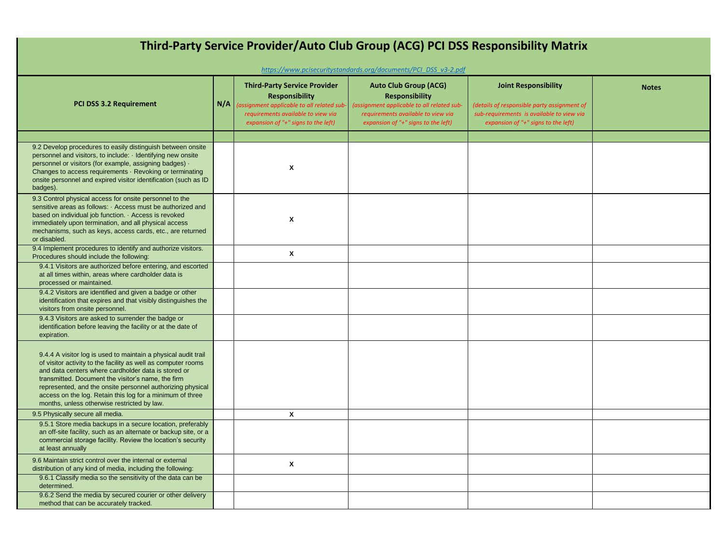| Third-Party Service Provider/Auto Club Group (ACG) PCI DSS Responsibility Matrix<br>https://www.pcisecuritystandards.org/documents/PCI_DSS_v3-2.pdf                                                                                                                                                                                                                                                                    |     |                                                                                                                                                                                        |                                                                                                                                                                                  |                                                                                                                                                                |              |  |  |
|------------------------------------------------------------------------------------------------------------------------------------------------------------------------------------------------------------------------------------------------------------------------------------------------------------------------------------------------------------------------------------------------------------------------|-----|----------------------------------------------------------------------------------------------------------------------------------------------------------------------------------------|----------------------------------------------------------------------------------------------------------------------------------------------------------------------------------|----------------------------------------------------------------------------------------------------------------------------------------------------------------|--------------|--|--|
| <b>PCI DSS 3.2 Requirement</b>                                                                                                                                                                                                                                                                                                                                                                                         | N/A | <b>Third-Party Service Provider</b><br><b>Responsibility</b><br>assignment applicable to all related sub-<br>requirements available to view via<br>expansion of "+" signs to the left) | <b>Auto Club Group (ACG)</b><br><b>Responsibility</b><br>(assignment applicable to all related sub-<br>requirements available to view via<br>expansion of "+" signs to the left) | <b>Joint Responsibility</b><br>(details of responsible party assignment of<br>sub-requirements is available to view via<br>expansion of "+" signs to the left) | <b>Notes</b> |  |  |
| 9.2 Develop procedures to easily distinguish between onsite<br>personnel and visitors, to include: I dentifying new onsite<br>personnel or visitors (for example, assigning badges) -<br>Changes to access requirements · Revoking or terminating<br>onsite personnel and expired visitor identification (such as ID<br>badges).                                                                                       |     | X                                                                                                                                                                                      |                                                                                                                                                                                  |                                                                                                                                                                |              |  |  |
| 9.3 Control physical access for onsite personnel to the<br>sensitive areas as follows: Access must be authorized and<br>based on individual job function. Access is revoked<br>immediately upon termination, and all physical access<br>mechanisms, such as keys, access cards, etc., are returned<br>or disabled.                                                                                                     |     | X                                                                                                                                                                                      |                                                                                                                                                                                  |                                                                                                                                                                |              |  |  |
| 9.4 Implement procedures to identify and authorize visitors.<br>Procedures should include the following:                                                                                                                                                                                                                                                                                                               |     | $\boldsymbol{\mathsf{x}}$                                                                                                                                                              |                                                                                                                                                                                  |                                                                                                                                                                |              |  |  |
| 9.4.1 Visitors are authorized before entering, and escorted<br>at all times within, areas where cardholder data is<br>processed or maintained.                                                                                                                                                                                                                                                                         |     |                                                                                                                                                                                        |                                                                                                                                                                                  |                                                                                                                                                                |              |  |  |
| 9.4.2 Visitors are identified and given a badge or other<br>identification that expires and that visibly distinguishes the<br>visitors from onsite personnel.                                                                                                                                                                                                                                                          |     |                                                                                                                                                                                        |                                                                                                                                                                                  |                                                                                                                                                                |              |  |  |
| 9.4.3 Visitors are asked to surrender the badge or<br>identification before leaving the facility or at the date of<br>expiration.                                                                                                                                                                                                                                                                                      |     |                                                                                                                                                                                        |                                                                                                                                                                                  |                                                                                                                                                                |              |  |  |
| 9.4.4 A visitor log is used to maintain a physical audit trail<br>of visitor activity to the facility as well as computer rooms<br>and data centers where cardholder data is stored or<br>transmitted. Document the visitor's name, the firm<br>represented, and the onsite personnel authorizing physical<br>access on the log. Retain this log for a minimum of three<br>months, unless otherwise restricted by law. |     |                                                                                                                                                                                        |                                                                                                                                                                                  |                                                                                                                                                                |              |  |  |
| 9.5 Physically secure all media.                                                                                                                                                                                                                                                                                                                                                                                       |     | $\mathbf{x}$                                                                                                                                                                           |                                                                                                                                                                                  |                                                                                                                                                                |              |  |  |
| 9.5.1 Store media backups in a secure location, preferably<br>an off-site facility, such as an alternate or backup site, or a<br>commercial storage facility. Review the location's security<br>at least annually                                                                                                                                                                                                      |     |                                                                                                                                                                                        |                                                                                                                                                                                  |                                                                                                                                                                |              |  |  |
| 9.6 Maintain strict control over the internal or external<br>distribution of any kind of media, including the following:                                                                                                                                                                                                                                                                                               |     | X                                                                                                                                                                                      |                                                                                                                                                                                  |                                                                                                                                                                |              |  |  |
| 9.6.1 Classify media so the sensitivity of the data can be<br>determined.                                                                                                                                                                                                                                                                                                                                              |     |                                                                                                                                                                                        |                                                                                                                                                                                  |                                                                                                                                                                |              |  |  |
| 9.6.2 Send the media by secured courier or other delivery<br>method that can be accurately tracked.                                                                                                                                                                                                                                                                                                                    |     |                                                                                                                                                                                        |                                                                                                                                                                                  |                                                                                                                                                                |              |  |  |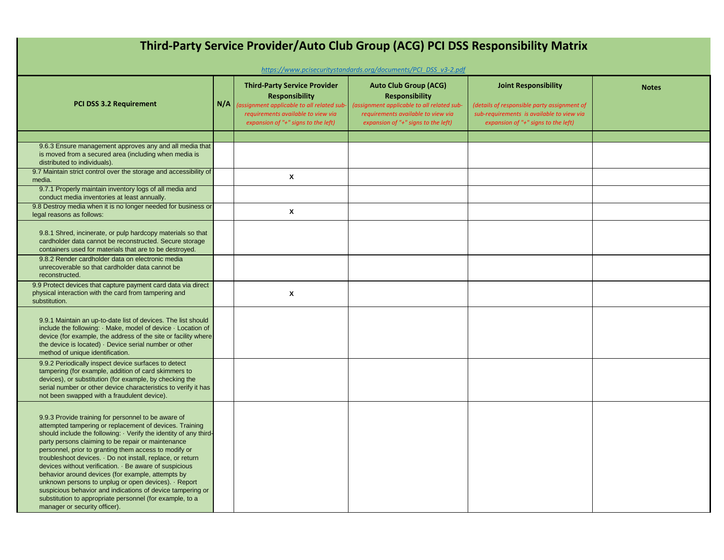| Third-Party Service Provider/Auto Club Group (ACG) PCI DSS Responsibility Matrix<br>https://www.pcisecuritystandards.org/documents/PCI DSS v3-2.pdf                                                                                                                                                                                                                                                                                                                                                                                                                                                                                                                                              |     |                                                                                                                                                                                        |                                                                                                                                                                                  |                                                                                                                                                                |              |  |  |
|--------------------------------------------------------------------------------------------------------------------------------------------------------------------------------------------------------------------------------------------------------------------------------------------------------------------------------------------------------------------------------------------------------------------------------------------------------------------------------------------------------------------------------------------------------------------------------------------------------------------------------------------------------------------------------------------------|-----|----------------------------------------------------------------------------------------------------------------------------------------------------------------------------------------|----------------------------------------------------------------------------------------------------------------------------------------------------------------------------------|----------------------------------------------------------------------------------------------------------------------------------------------------------------|--------------|--|--|
| PCI DSS 3.2 Requirement                                                                                                                                                                                                                                                                                                                                                                                                                                                                                                                                                                                                                                                                          | N/A | <b>Third-Party Service Provider</b><br><b>Responsibility</b><br>assignment applicable to all related sub-<br>requirements available to view via<br>expansion of "+" signs to the left) | <b>Auto Club Group (ACG)</b><br><b>Responsibility</b><br>(assignment applicable to all related sub-<br>requirements available to view via<br>expansion of "+" signs to the left) | <b>Joint Responsibility</b><br>(details of responsible party assignment of<br>sub-requirements is available to view via<br>expansion of "+" signs to the left) | <b>Notes</b> |  |  |
|                                                                                                                                                                                                                                                                                                                                                                                                                                                                                                                                                                                                                                                                                                  |     |                                                                                                                                                                                        |                                                                                                                                                                                  |                                                                                                                                                                |              |  |  |
| 9.6.3 Ensure management approves any and all media that<br>is moved from a secured area (including when media is<br>distributed to individuals).                                                                                                                                                                                                                                                                                                                                                                                                                                                                                                                                                 |     |                                                                                                                                                                                        |                                                                                                                                                                                  |                                                                                                                                                                |              |  |  |
| 9.7 Maintain strict control over the storage and accessibility of<br>media.                                                                                                                                                                                                                                                                                                                                                                                                                                                                                                                                                                                                                      |     | X                                                                                                                                                                                      |                                                                                                                                                                                  |                                                                                                                                                                |              |  |  |
| 9.7.1 Properly maintain inventory logs of all media and<br>conduct media inventories at least annually.                                                                                                                                                                                                                                                                                                                                                                                                                                                                                                                                                                                          |     |                                                                                                                                                                                        |                                                                                                                                                                                  |                                                                                                                                                                |              |  |  |
| 9.8 Destroy media when it is no longer needed for business or<br>legal reasons as follows:                                                                                                                                                                                                                                                                                                                                                                                                                                                                                                                                                                                                       |     | X                                                                                                                                                                                      |                                                                                                                                                                                  |                                                                                                                                                                |              |  |  |
| 9.8.1 Shred, incinerate, or pulp hardcopy materials so that<br>cardholder data cannot be reconstructed. Secure storage<br>containers used for materials that are to be destroyed.                                                                                                                                                                                                                                                                                                                                                                                                                                                                                                                |     |                                                                                                                                                                                        |                                                                                                                                                                                  |                                                                                                                                                                |              |  |  |
| 9.8.2 Render cardholder data on electronic media<br>unrecoverable so that cardholder data cannot be<br>reconstructed.                                                                                                                                                                                                                                                                                                                                                                                                                                                                                                                                                                            |     |                                                                                                                                                                                        |                                                                                                                                                                                  |                                                                                                                                                                |              |  |  |
| 9.9 Protect devices that capture payment card data via direct<br>physical interaction with the card from tampering and<br>substitution.                                                                                                                                                                                                                                                                                                                                                                                                                                                                                                                                                          |     | X                                                                                                                                                                                      |                                                                                                                                                                                  |                                                                                                                                                                |              |  |  |
| 9.9.1 Maintain an up-to-date list of devices. The list should<br>include the following: Make, model of device · Location of<br>device (for example, the address of the site or facility where<br>the device is located) - Device serial number or other<br>method of unique identification.                                                                                                                                                                                                                                                                                                                                                                                                      |     |                                                                                                                                                                                        |                                                                                                                                                                                  |                                                                                                                                                                |              |  |  |
| 9.9.2 Periodically inspect device surfaces to detect<br>tampering (for example, addition of card skimmers to<br>devices), or substitution (for example, by checking the<br>serial number or other device characteristics to verify it has<br>not been swapped with a fraudulent device).                                                                                                                                                                                                                                                                                                                                                                                                         |     |                                                                                                                                                                                        |                                                                                                                                                                                  |                                                                                                                                                                |              |  |  |
| 9.9.3 Provide training for personnel to be aware of<br>attempted tampering or replacement of devices. Training<br>should include the following: · Verify the identity of any third-<br>party persons claiming to be repair or maintenance<br>personnel, prior to granting them access to modify or<br>troubleshoot devices. · Do not install, replace, or return<br>devices without verification. · Be aware of suspicious<br>behavior around devices (for example, attempts by<br>unknown persons to unplug or open devices). Report<br>suspicious behavior and indications of device tampering or<br>substitution to appropriate personnel (for example, to a<br>manager or security officer). |     |                                                                                                                                                                                        |                                                                                                                                                                                  |                                                                                                                                                                |              |  |  |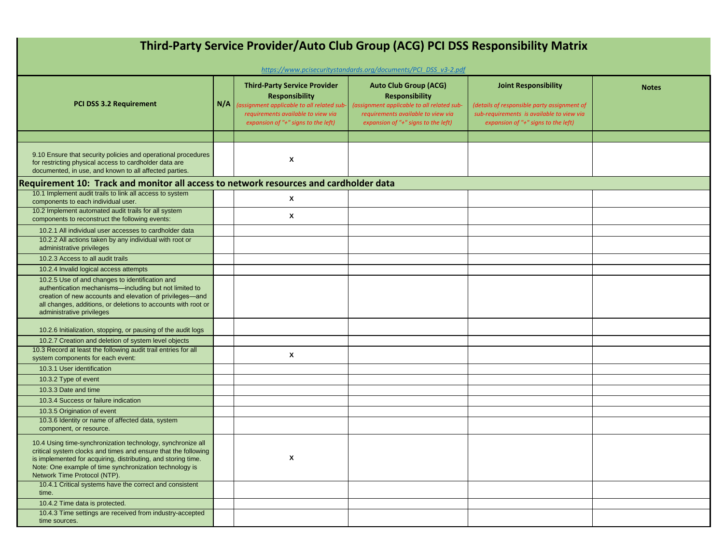| Third-Party Service Provider/Auto Club Group (ACG) PCI DSS Responsibility Matrix                                                                                                                                                                                                          |     |                                                                                                                                                                                         |                                                                                                                                                                                  |                                                                                                                                                                |              |  |  |  |
|-------------------------------------------------------------------------------------------------------------------------------------------------------------------------------------------------------------------------------------------------------------------------------------------|-----|-----------------------------------------------------------------------------------------------------------------------------------------------------------------------------------------|----------------------------------------------------------------------------------------------------------------------------------------------------------------------------------|----------------------------------------------------------------------------------------------------------------------------------------------------------------|--------------|--|--|--|
| https://www.pcisecuritystandards.org/documents/PCI DSS v3-2.pdf                                                                                                                                                                                                                           |     |                                                                                                                                                                                         |                                                                                                                                                                                  |                                                                                                                                                                |              |  |  |  |
| PCI DSS 3.2 Requirement                                                                                                                                                                                                                                                                   | N/A | <b>Third-Party Service Provider</b><br><b>Responsibility</b><br>(assignment applicable to all related sub-<br>requirements available to view via<br>expansion of "+" signs to the left) | <b>Auto Club Group (ACG)</b><br><b>Responsibility</b><br>(assignment applicable to all related sub-<br>requirements available to view via<br>expansion of "+" signs to the left) | <b>Joint Responsibility</b><br>(details of responsible party assignment of<br>sub-requirements is available to view via<br>expansion of "+" signs to the left) | <b>Notes</b> |  |  |  |
|                                                                                                                                                                                                                                                                                           |     |                                                                                                                                                                                         |                                                                                                                                                                                  |                                                                                                                                                                |              |  |  |  |
| 9.10 Ensure that security policies and operational procedures<br>for restricting physical access to cardholder data are<br>documented, in use, and known to all affected parties.                                                                                                         |     | X                                                                                                                                                                                       |                                                                                                                                                                                  |                                                                                                                                                                |              |  |  |  |
| Requirement 10: Track and monitor all access to network resources and cardholder data                                                                                                                                                                                                     |     |                                                                                                                                                                                         |                                                                                                                                                                                  |                                                                                                                                                                |              |  |  |  |
| 10.1 Implement audit trails to link all access to system<br>components to each individual user.                                                                                                                                                                                           |     | X                                                                                                                                                                                       |                                                                                                                                                                                  |                                                                                                                                                                |              |  |  |  |
| 10.2 Implement automated audit trails for all system<br>components to reconstruct the following events:                                                                                                                                                                                   |     | $\mathbf{x}$                                                                                                                                                                            |                                                                                                                                                                                  |                                                                                                                                                                |              |  |  |  |
| 10.2.1 All individual user accesses to cardholder data                                                                                                                                                                                                                                    |     |                                                                                                                                                                                         |                                                                                                                                                                                  |                                                                                                                                                                |              |  |  |  |
| 10.2.2 All actions taken by any individual with root or<br>administrative privileges                                                                                                                                                                                                      |     |                                                                                                                                                                                         |                                                                                                                                                                                  |                                                                                                                                                                |              |  |  |  |
| 10.2.3 Access to all audit trails                                                                                                                                                                                                                                                         |     |                                                                                                                                                                                         |                                                                                                                                                                                  |                                                                                                                                                                |              |  |  |  |
| 10.2.4 Invalid logical access attempts                                                                                                                                                                                                                                                    |     |                                                                                                                                                                                         |                                                                                                                                                                                  |                                                                                                                                                                |              |  |  |  |
| 10.2.5 Use of and changes to identification and<br>authentication mechanisms-including but not limited to<br>creation of new accounts and elevation of privileges-and<br>all changes, additions, or deletions to accounts with root or<br>administrative privileges                       |     |                                                                                                                                                                                         |                                                                                                                                                                                  |                                                                                                                                                                |              |  |  |  |
| 10.2.6 Initialization, stopping, or pausing of the audit logs                                                                                                                                                                                                                             |     |                                                                                                                                                                                         |                                                                                                                                                                                  |                                                                                                                                                                |              |  |  |  |
| 10.2.7 Creation and deletion of system level objects                                                                                                                                                                                                                                      |     |                                                                                                                                                                                         |                                                                                                                                                                                  |                                                                                                                                                                |              |  |  |  |
| 10.3 Record at least the following audit trail entries for all<br>system components for each event:                                                                                                                                                                                       |     | $\mathsf{x}$                                                                                                                                                                            |                                                                                                                                                                                  |                                                                                                                                                                |              |  |  |  |
| 10.3.1 User identification                                                                                                                                                                                                                                                                |     |                                                                                                                                                                                         |                                                                                                                                                                                  |                                                                                                                                                                |              |  |  |  |
| 10.3.2 Type of event                                                                                                                                                                                                                                                                      |     |                                                                                                                                                                                         |                                                                                                                                                                                  |                                                                                                                                                                |              |  |  |  |
| 10.3.3 Date and time                                                                                                                                                                                                                                                                      |     |                                                                                                                                                                                         |                                                                                                                                                                                  |                                                                                                                                                                |              |  |  |  |
| 10.3.4 Success or failure indication                                                                                                                                                                                                                                                      |     |                                                                                                                                                                                         |                                                                                                                                                                                  |                                                                                                                                                                |              |  |  |  |
| 10.3.5 Origination of event                                                                                                                                                                                                                                                               |     |                                                                                                                                                                                         |                                                                                                                                                                                  |                                                                                                                                                                |              |  |  |  |
| 10.3.6 Identity or name of affected data, system<br>component, or resource.                                                                                                                                                                                                               |     |                                                                                                                                                                                         |                                                                                                                                                                                  |                                                                                                                                                                |              |  |  |  |
| 10.4 Using time-synchronization technology, synchronize all<br>critical system clocks and times and ensure that the following<br>is implemented for acquiring, distributing, and storing time.<br>Note: One example of time synchronization technology is<br>Network Time Protocol (NTP). |     | X                                                                                                                                                                                       |                                                                                                                                                                                  |                                                                                                                                                                |              |  |  |  |
| 10.4.1 Critical systems have the correct and consistent<br>time.                                                                                                                                                                                                                          |     |                                                                                                                                                                                         |                                                                                                                                                                                  |                                                                                                                                                                |              |  |  |  |
| 10.4.2 Time data is protected.                                                                                                                                                                                                                                                            |     |                                                                                                                                                                                         |                                                                                                                                                                                  |                                                                                                                                                                |              |  |  |  |
| 10.4.3 Time settings are received from industry-accepted<br>time sources.                                                                                                                                                                                                                 |     |                                                                                                                                                                                         |                                                                                                                                                                                  |                                                                                                                                                                |              |  |  |  |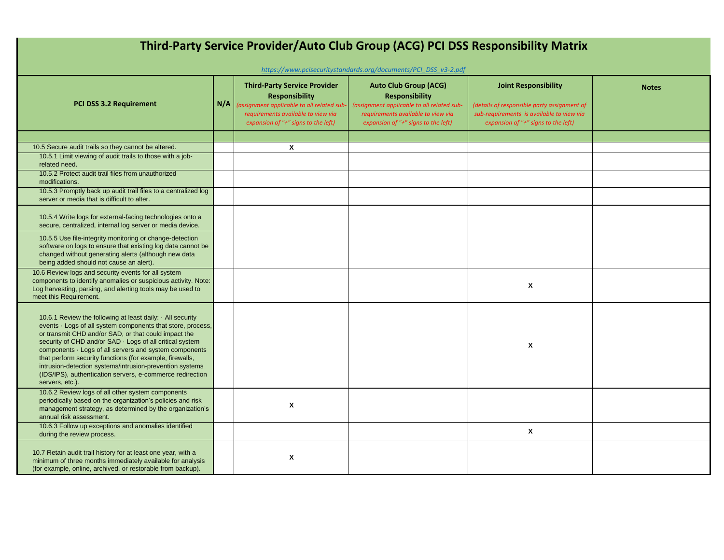| Third-Party Service Provider/Auto Club Group (ACG) PCI DSS Responsibility Matrix<br>https://www.pcisecuritystandards.org/documents/PCI_DSS_v3-2.pdf                                                                                                                                                                                                                                                                                                                                                                   |     |                                                                                                                         |                                                                                                                         |                                                                                                                                 |              |  |  |
|-----------------------------------------------------------------------------------------------------------------------------------------------------------------------------------------------------------------------------------------------------------------------------------------------------------------------------------------------------------------------------------------------------------------------------------------------------------------------------------------------------------------------|-----|-------------------------------------------------------------------------------------------------------------------------|-------------------------------------------------------------------------------------------------------------------------|---------------------------------------------------------------------------------------------------------------------------------|--------------|--|--|
|                                                                                                                                                                                                                                                                                                                                                                                                                                                                                                                       | N/A | <b>Third-Party Service Provider</b><br><b>Responsibility</b>                                                            | <b>Auto Club Group (ACG)</b><br><b>Responsibility</b>                                                                   | <b>Joint Responsibility</b>                                                                                                     | <b>Notes</b> |  |  |
| <b>PCI DSS 3.2 Requirement</b>                                                                                                                                                                                                                                                                                                                                                                                                                                                                                        |     | (assignment applicable to all related sub-<br>requirements available to view via<br>expansion of "+" signs to the left) | (assignment applicable to all related sub-<br>requirements available to view via<br>expansion of "+" signs to the left) | (details of responsible party assignment of<br>sub-requirements is available to view via<br>expansion of "+" signs to the left) |              |  |  |
|                                                                                                                                                                                                                                                                                                                                                                                                                                                                                                                       |     |                                                                                                                         |                                                                                                                         |                                                                                                                                 |              |  |  |
| 10.5 Secure audit trails so they cannot be altered.                                                                                                                                                                                                                                                                                                                                                                                                                                                                   |     | $\mathsf{x}$                                                                                                            |                                                                                                                         |                                                                                                                                 |              |  |  |
| 10.5.1 Limit viewing of audit trails to those with a job-<br>related need.                                                                                                                                                                                                                                                                                                                                                                                                                                            |     |                                                                                                                         |                                                                                                                         |                                                                                                                                 |              |  |  |
| 10.5.2 Protect audit trail files from unauthorized<br>modifications.                                                                                                                                                                                                                                                                                                                                                                                                                                                  |     |                                                                                                                         |                                                                                                                         |                                                                                                                                 |              |  |  |
| 10.5.3 Promptly back up audit trail files to a centralized log<br>server or media that is difficult to alter.                                                                                                                                                                                                                                                                                                                                                                                                         |     |                                                                                                                         |                                                                                                                         |                                                                                                                                 |              |  |  |
| 10.5.4 Write logs for external-facing technologies onto a<br>secure, centralized, internal log server or media device.                                                                                                                                                                                                                                                                                                                                                                                                |     |                                                                                                                         |                                                                                                                         |                                                                                                                                 |              |  |  |
| 10.5.5 Use file-integrity monitoring or change-detection<br>software on logs to ensure that existing log data cannot be<br>changed without generating alerts (although new data<br>being added should not cause an alert).                                                                                                                                                                                                                                                                                            |     |                                                                                                                         |                                                                                                                         |                                                                                                                                 |              |  |  |
| 10.6 Review logs and security events for all system<br>components to identify anomalies or suspicious activity. Note:<br>Log harvesting, parsing, and alerting tools may be used to<br>meet this Requirement.                                                                                                                                                                                                                                                                                                         |     |                                                                                                                         |                                                                                                                         | $\pmb{\mathsf{x}}$                                                                                                              |              |  |  |
| 10.6.1 Review the following at least daily: $\cdot$ All security<br>events · Logs of all system components that store, process,<br>or transmit CHD and/or SAD, or that could impact the<br>security of CHD and/or SAD · Logs of all critical system<br>components · Logs of all servers and system components<br>that perform security functions (for example, firewalls,<br>intrusion-detection systems/intrusion-prevention systems<br>(IDS/IPS), authentication servers, e-commerce redirection<br>servers, etc.). |     |                                                                                                                         |                                                                                                                         | $\boldsymbol{x}$                                                                                                                |              |  |  |
| 10.6.2 Review logs of all other system components<br>periodically based on the organization's policies and risk<br>management strategy, as determined by the organization's<br>annual risk assessment.                                                                                                                                                                                                                                                                                                                |     | X                                                                                                                       |                                                                                                                         |                                                                                                                                 |              |  |  |
| 10.6.3 Follow up exceptions and anomalies identified<br>during the review process.                                                                                                                                                                                                                                                                                                                                                                                                                                    |     |                                                                                                                         |                                                                                                                         | $\pmb{\mathsf{x}}$                                                                                                              |              |  |  |
| 10.7 Retain audit trail history for at least one year, with a<br>minimum of three months immediately available for analysis<br>(for example, online, archived, or restorable from backup).                                                                                                                                                                                                                                                                                                                            |     | X                                                                                                                       |                                                                                                                         |                                                                                                                                 |              |  |  |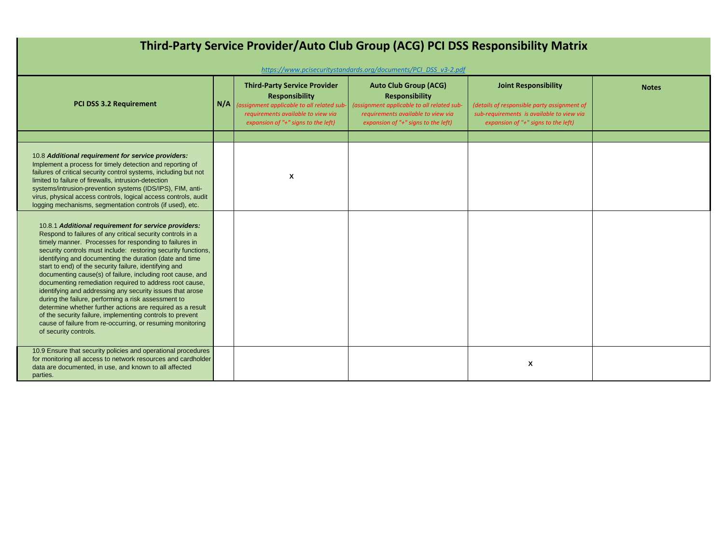| Third-Party Service Provider/Auto Club Group (ACG) PCI DSS Responsibility Matrix                                                                                                                                                                                                                                                                                                                                                                                                                                                                                                                                                                                                                                                                                                                                                  |  |                                                                                                                                                                                               |                                                                                                                                                                                                                                                     |                                                                                                                                                                |              |  |  |  |
|-----------------------------------------------------------------------------------------------------------------------------------------------------------------------------------------------------------------------------------------------------------------------------------------------------------------------------------------------------------------------------------------------------------------------------------------------------------------------------------------------------------------------------------------------------------------------------------------------------------------------------------------------------------------------------------------------------------------------------------------------------------------------------------------------------------------------------------|--|-----------------------------------------------------------------------------------------------------------------------------------------------------------------------------------------------|-----------------------------------------------------------------------------------------------------------------------------------------------------------------------------------------------------------------------------------------------------|----------------------------------------------------------------------------------------------------------------------------------------------------------------|--------------|--|--|--|
| PCI DSS 3.2 Requirement                                                                                                                                                                                                                                                                                                                                                                                                                                                                                                                                                                                                                                                                                                                                                                                                           |  | <b>Third-Party Service Provider</b><br><b>Responsibility</b><br>$N/A$ (assignment applicable to all related sub-<br>requirements available to view via<br>expansion of "+" signs to the left) | https://www.pcisecuritystandards.org/documents/PCI DSS v3-2.pdf<br><b>Auto Club Group (ACG)</b><br><b>Responsibility</b><br>(assignment applicable to all related sub-<br>requirements available to view via<br>expansion of "+" signs to the left) | <b>Joint Responsibility</b><br>(details of responsible party assignment of<br>sub-requirements is available to view via<br>expansion of "+" signs to the left) | <b>Notes</b> |  |  |  |
|                                                                                                                                                                                                                                                                                                                                                                                                                                                                                                                                                                                                                                                                                                                                                                                                                                   |  |                                                                                                                                                                                               |                                                                                                                                                                                                                                                     |                                                                                                                                                                |              |  |  |  |
| 10.8 Additional requirement for service providers:<br>Implement a process for timely detection and reporting of<br>failures of critical security control systems, including but not<br>limited to failure of firewalls, intrusion-detection<br>systems/intrusion-prevention systems (IDS/IPS), FIM, anti-<br>virus, physical access controls, logical access controls, audit<br>logging mechanisms, segmentation controls (if used), etc.                                                                                                                                                                                                                                                                                                                                                                                         |  | X                                                                                                                                                                                             |                                                                                                                                                                                                                                                     |                                                                                                                                                                |              |  |  |  |
| 10.8.1 Additional requirement for service providers:<br>Respond to failures of any critical security controls in a<br>timely manner. Processes for responding to failures in<br>security controls must include: restoring security functions,<br>identifying and documenting the duration (date and time<br>start to end) of the security failure, identifying and<br>documenting cause(s) of failure, including root cause, and<br>documenting remediation required to address root cause,<br>identifying and addressing any security issues that arose<br>during the failure, performing a risk assessment to<br>determine whether further actions are required as a result<br>of the security failure, implementing controls to prevent<br>cause of failure from re-occurring, or resuming monitoring<br>of security controls. |  |                                                                                                                                                                                               |                                                                                                                                                                                                                                                     |                                                                                                                                                                |              |  |  |  |
| 10.9 Ensure that security policies and operational procedures<br>for monitoring all access to network resources and cardholder<br>data are documented, in use, and known to all affected<br>parties.                                                                                                                                                                                                                                                                                                                                                                                                                                                                                                                                                                                                                              |  |                                                                                                                                                                                               |                                                                                                                                                                                                                                                     | X                                                                                                                                                              |              |  |  |  |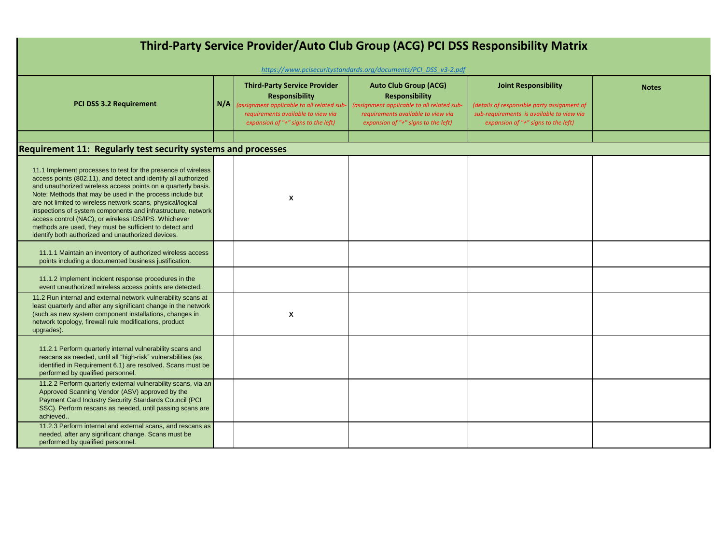| Third-Party Service Provider/Auto Club Group (ACG) PCI DSS Responsibility Matrix                                                                                                                                                                                                                                                                                                                                                                                                                                                                                      |     |                                                                                                                                                                                        |                                                                                                                                                                                  |                                                                                                                                                                |              |  |  |  |
|-----------------------------------------------------------------------------------------------------------------------------------------------------------------------------------------------------------------------------------------------------------------------------------------------------------------------------------------------------------------------------------------------------------------------------------------------------------------------------------------------------------------------------------------------------------------------|-----|----------------------------------------------------------------------------------------------------------------------------------------------------------------------------------------|----------------------------------------------------------------------------------------------------------------------------------------------------------------------------------|----------------------------------------------------------------------------------------------------------------------------------------------------------------|--------------|--|--|--|
| https://www.pcisecuritystandards.org/documents/PCI DSS v3-2.pdf                                                                                                                                                                                                                                                                                                                                                                                                                                                                                                       |     |                                                                                                                                                                                        |                                                                                                                                                                                  |                                                                                                                                                                |              |  |  |  |
| PCI DSS 3.2 Requirement                                                                                                                                                                                                                                                                                                                                                                                                                                                                                                                                               | N/A | <b>Third-Party Service Provider</b><br><b>Responsibility</b><br>(assignment applicable to all related sub<br>requirements available to view via<br>expansion of "+" signs to the left) | <b>Auto Club Group (ACG)</b><br><b>Responsibility</b><br>(assignment applicable to all related sub-<br>requirements available to view via<br>expansion of "+" signs to the left) | <b>Joint Responsibility</b><br>(details of responsible party assignment of<br>sub-requirements is available to view via<br>expansion of "+" signs to the left) | <b>Notes</b> |  |  |  |
|                                                                                                                                                                                                                                                                                                                                                                                                                                                                                                                                                                       |     |                                                                                                                                                                                        |                                                                                                                                                                                  |                                                                                                                                                                |              |  |  |  |
| <b>Requirement 11: Regularly test security systems and processes</b>                                                                                                                                                                                                                                                                                                                                                                                                                                                                                                  |     |                                                                                                                                                                                        |                                                                                                                                                                                  |                                                                                                                                                                |              |  |  |  |
| 11.1 Implement processes to test for the presence of wireless<br>access points (802.11), and detect and identify all authorized<br>and unauthorized wireless access points on a quarterly basis.<br>Note: Methods that may be used in the process include but<br>are not limited to wireless network scans, physical/logical<br>inspections of system components and infrastructure, network<br>access control (NAC), or wireless IDS/IPS. Whichever<br>methods are used, they must be sufficient to detect and<br>identify both authorized and unauthorized devices. |     | X                                                                                                                                                                                      |                                                                                                                                                                                  |                                                                                                                                                                |              |  |  |  |
| 11.1.1 Maintain an inventory of authorized wireless access<br>points including a documented business justification.                                                                                                                                                                                                                                                                                                                                                                                                                                                   |     |                                                                                                                                                                                        |                                                                                                                                                                                  |                                                                                                                                                                |              |  |  |  |
| 11.1.2 Implement incident response procedures in the<br>event unauthorized wireless access points are detected.                                                                                                                                                                                                                                                                                                                                                                                                                                                       |     |                                                                                                                                                                                        |                                                                                                                                                                                  |                                                                                                                                                                |              |  |  |  |
| 11.2 Run internal and external network vulnerability scans at<br>least quarterly and after any significant change in the network<br>(such as new system component installations, changes in<br>network topology, firewall rule modifications, product<br>upgrades).                                                                                                                                                                                                                                                                                                   |     | X                                                                                                                                                                                      |                                                                                                                                                                                  |                                                                                                                                                                |              |  |  |  |
| 11.2.1 Perform quarterly internal vulnerability scans and<br>rescans as needed, until all "high-risk" vulnerabilities (as<br>identified in Requirement 6.1) are resolved. Scans must be<br>performed by qualified personnel.                                                                                                                                                                                                                                                                                                                                          |     |                                                                                                                                                                                        |                                                                                                                                                                                  |                                                                                                                                                                |              |  |  |  |
| 11.2.2 Perform quarterly external vulnerability scans, via an<br>Approved Scanning Vendor (ASV) approved by the<br>Payment Card Industry Security Standards Council (PCI<br>SSC). Perform rescans as needed, until passing scans are<br>achieved                                                                                                                                                                                                                                                                                                                      |     |                                                                                                                                                                                        |                                                                                                                                                                                  |                                                                                                                                                                |              |  |  |  |
| 11.2.3 Perform internal and external scans, and rescans as<br>needed, after any significant change. Scans must be<br>performed by qualified personnel.                                                                                                                                                                                                                                                                                                                                                                                                                |     |                                                                                                                                                                                        |                                                                                                                                                                                  |                                                                                                                                                                |              |  |  |  |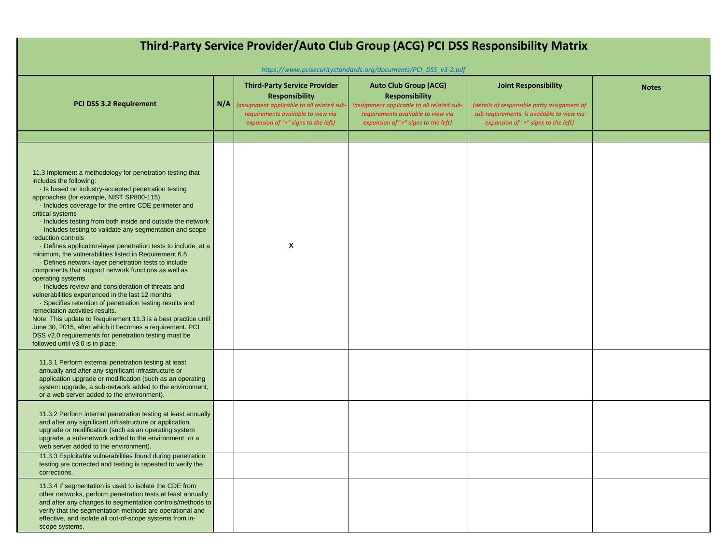| Third-Party Service Provider/Auto Club Group (ACG) PCI DSS Responsibility Matrix<br>https://www.pcisecuritystandards.org/documents/PCI DSS v3-2.pdf                                                                                                                                                                                                                                                                                                                                                                                                                                                                                                                                                                                                                                                                                                                                                                                                                                                                                                                                                                      |     |                                                                                                                                                                                        |                                                                                                                                                                                  |                                                                                                                                                                |              |  |  |
|--------------------------------------------------------------------------------------------------------------------------------------------------------------------------------------------------------------------------------------------------------------------------------------------------------------------------------------------------------------------------------------------------------------------------------------------------------------------------------------------------------------------------------------------------------------------------------------------------------------------------------------------------------------------------------------------------------------------------------------------------------------------------------------------------------------------------------------------------------------------------------------------------------------------------------------------------------------------------------------------------------------------------------------------------------------------------------------------------------------------------|-----|----------------------------------------------------------------------------------------------------------------------------------------------------------------------------------------|----------------------------------------------------------------------------------------------------------------------------------------------------------------------------------|----------------------------------------------------------------------------------------------------------------------------------------------------------------|--------------|--|--|
| <b>PCI DSS 3.2 Requirement</b>                                                                                                                                                                                                                                                                                                                                                                                                                                                                                                                                                                                                                                                                                                                                                                                                                                                                                                                                                                                                                                                                                           | N/A | <b>Third-Party Service Provider</b><br><b>Responsibility</b><br>(assignment applicable to all related sub<br>requirements available to view via<br>expansion of "+" signs to the left) | <b>Auto Club Group (ACG)</b><br><b>Responsibility</b><br>(assignment applicable to all related sub-<br>requirements available to view via<br>expansion of "+" signs to the left) | <b>Joint Responsibility</b><br>(details of responsible party assignment of<br>sub-requirements is available to view via<br>expansion of "+" signs to the left) | <b>Notes</b> |  |  |
|                                                                                                                                                                                                                                                                                                                                                                                                                                                                                                                                                                                                                                                                                                                                                                                                                                                                                                                                                                                                                                                                                                                          |     |                                                                                                                                                                                        |                                                                                                                                                                                  |                                                                                                                                                                |              |  |  |
| 11.3 Implement a methodology for penetration testing that<br>includes the following:<br>· Is based on industry-accepted penetration testing<br>approaches (for example, NIST SP800-115)<br>· Includes coverage for the entire CDE perimeter and<br>critical systems<br>Includes testing from both inside and outside the network<br>· Includes testing to validate any segmentation and scope-<br>reduction controls<br>· Defines application-layer penetration tests to include, at a<br>minimum, the vulnerabilities listed in Requirement 6.5<br>- Defines network-layer penetration tests to include<br>components that support network functions as well as<br>operating systems<br>· Includes review and consideration of threats and<br>vulnerabilities experienced in the last 12 months<br>Specifies retention of penetration testing results and<br>remediation activities results.<br>Note: This update to Requirement 11.3 is a best practice until<br>June 30, 2015, after which it becomes a requirement. PCI<br>DSS v2.0 requirements for penetration testing must be<br>followed until v3.0 is in place. |     | X                                                                                                                                                                                      |                                                                                                                                                                                  |                                                                                                                                                                |              |  |  |
| 11.3.1 Perform external penetration testing at least<br>annually and after any significant infrastructure or<br>application upgrade or modification (such as an operating<br>system upgrade, a sub-network added to the environment,<br>or a web server added to the environment).                                                                                                                                                                                                                                                                                                                                                                                                                                                                                                                                                                                                                                                                                                                                                                                                                                       |     |                                                                                                                                                                                        |                                                                                                                                                                                  |                                                                                                                                                                |              |  |  |
| 11.3.2 Perform internal penetration testing at least annually<br>and after any significant infrastructure or application<br>upgrade or modification (such as an operating system<br>upgrade, a sub-network added to the environment, or a<br>web server added to the environment).                                                                                                                                                                                                                                                                                                                                                                                                                                                                                                                                                                                                                                                                                                                                                                                                                                       |     |                                                                                                                                                                                        |                                                                                                                                                                                  |                                                                                                                                                                |              |  |  |
| 11.3.3 Exploitable vulnerabilities found during penetration<br>testing are corrected and testing is repeated to verify the<br>corrections.                                                                                                                                                                                                                                                                                                                                                                                                                                                                                                                                                                                                                                                                                                                                                                                                                                                                                                                                                                               |     |                                                                                                                                                                                        |                                                                                                                                                                                  |                                                                                                                                                                |              |  |  |
| 11.3.4 If segmentation is used to isolate the CDE from<br>other networks, perform penetration tests at least annually<br>and after any changes to segmentation controls/methods to<br>verify that the segmentation methods are operational and<br>effective, and isolate all out-of-scope systems from in-<br>scope systems.                                                                                                                                                                                                                                                                                                                                                                                                                                                                                                                                                                                                                                                                                                                                                                                             |     |                                                                                                                                                                                        |                                                                                                                                                                                  |                                                                                                                                                                |              |  |  |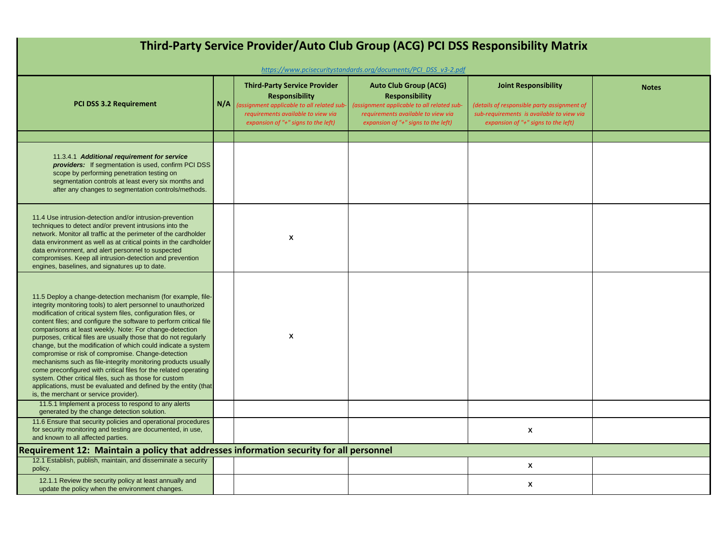| Third-Party Service Provider/Auto Club Group (ACG) PCI DSS Responsibility Matrix<br>https://www.pcisecuritystandards.org/documents/PCI DSS v3-2.pdf                                                                                                                                                                                                                                                                                                                                                                                                                                                                                                                                                                                                                                                                                      |     |                                                                                                                                                                                        |                                                                                                                                                                                      |                                                                                                                                                                |              |  |  |
|------------------------------------------------------------------------------------------------------------------------------------------------------------------------------------------------------------------------------------------------------------------------------------------------------------------------------------------------------------------------------------------------------------------------------------------------------------------------------------------------------------------------------------------------------------------------------------------------------------------------------------------------------------------------------------------------------------------------------------------------------------------------------------------------------------------------------------------|-----|----------------------------------------------------------------------------------------------------------------------------------------------------------------------------------------|--------------------------------------------------------------------------------------------------------------------------------------------------------------------------------------|----------------------------------------------------------------------------------------------------------------------------------------------------------------|--------------|--|--|
| PCI DSS 3.2 Requirement                                                                                                                                                                                                                                                                                                                                                                                                                                                                                                                                                                                                                                                                                                                                                                                                                  | N/A | <b>Third-Party Service Provider</b><br><b>Responsibility</b><br>assignment applicable to all related sub-<br>requirements available to view via<br>expansion of "+" signs to the left) | <b>Auto Club Group (ACG)</b><br><b>Responsibility</b><br>(assignment applicable to all related sub-<br>requirements available to view via<br>expansion of " $+$ " signs to the left) | <b>Joint Responsibility</b><br>(details of responsible party assignment of<br>sub-requirements is available to view via<br>expansion of "+" signs to the left) | <b>Notes</b> |  |  |
| 11.3.4.1 Additional requirement for service<br><b>providers:</b> If segmentation is used, confirm PCI DSS<br>scope by performing penetration testing on<br>segmentation controls at least every six months and<br>after any changes to segmentation controls/methods.                                                                                                                                                                                                                                                                                                                                                                                                                                                                                                                                                                    |     |                                                                                                                                                                                        |                                                                                                                                                                                      |                                                                                                                                                                |              |  |  |
| 11.4 Use intrusion-detection and/or intrusion-prevention<br>techniques to detect and/or prevent intrusions into the<br>network. Monitor all traffic at the perimeter of the cardholder<br>data environment as well as at critical points in the cardholder<br>data environment, and alert personnel to suspected<br>compromises. Keep all intrusion-detection and prevention<br>engines, baselines, and signatures up to date.                                                                                                                                                                                                                                                                                                                                                                                                           |     | X                                                                                                                                                                                      |                                                                                                                                                                                      |                                                                                                                                                                |              |  |  |
| 11.5 Deploy a change-detection mechanism (for example, file-<br>integrity monitoring tools) to alert personnel to unauthorized<br>modification of critical system files, configuration files, or<br>content files; and configure the software to perform critical file<br>comparisons at least weekly. Note: For change-detection<br>purposes, critical files are usually those that do not regularly<br>change, but the modification of which could indicate a system<br>compromise or risk of compromise. Change-detection<br>mechanisms such as file-integrity monitoring products usually<br>come preconfigured with critical files for the related operating<br>system. Other critical files, such as those for custom<br>applications, must be evaluated and defined by the entity (that<br>is, the merchant or service provider). |     | X                                                                                                                                                                                      |                                                                                                                                                                                      |                                                                                                                                                                |              |  |  |
| 11.5.1 Implement a process to respond to any alerts<br>generated by the change detection solution.<br>11.6 Ensure that security policies and operational procedures<br>for security monitoring and testing are documented, in use,                                                                                                                                                                                                                                                                                                                                                                                                                                                                                                                                                                                                       |     |                                                                                                                                                                                        |                                                                                                                                                                                      | X                                                                                                                                                              |              |  |  |
| and known to all affected parties.<br>Requirement 12: Maintain a policy that addresses information security for all personnel                                                                                                                                                                                                                                                                                                                                                                                                                                                                                                                                                                                                                                                                                                            |     |                                                                                                                                                                                        |                                                                                                                                                                                      |                                                                                                                                                                |              |  |  |
| 12.1 Establish, publish, maintain, and disseminate a security<br>policy.                                                                                                                                                                                                                                                                                                                                                                                                                                                                                                                                                                                                                                                                                                                                                                 |     |                                                                                                                                                                                        |                                                                                                                                                                                      | X                                                                                                                                                              |              |  |  |
| 12.1.1 Review the security policy at least annually and<br>update the policy when the environment changes.                                                                                                                                                                                                                                                                                                                                                                                                                                                                                                                                                                                                                                                                                                                               |     |                                                                                                                                                                                        |                                                                                                                                                                                      | X                                                                                                                                                              |              |  |  |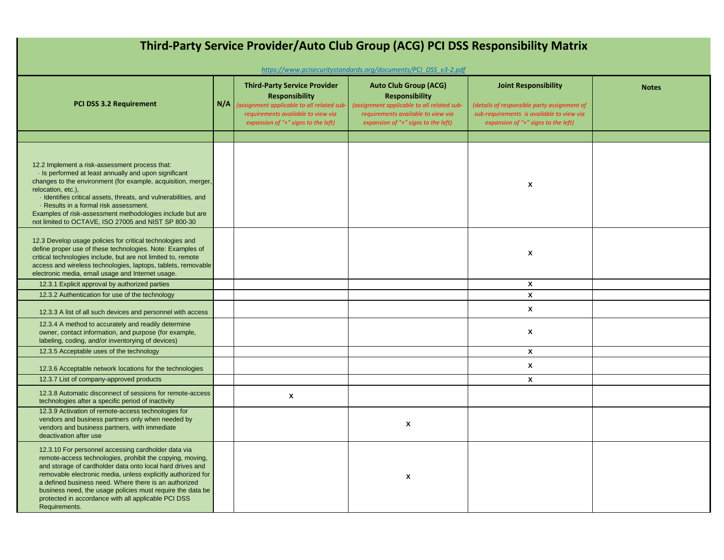| Third-Party Service Provider/Auto Club Group (ACG) PCI DSS Responsibility Matrix                                                                                                                                                                                                                                                                                                                                                             |     |                                                                                                                                                                                         |                                                                                                                                                                                                                                                     |                                                                                                                                                                |              |  |  |
|----------------------------------------------------------------------------------------------------------------------------------------------------------------------------------------------------------------------------------------------------------------------------------------------------------------------------------------------------------------------------------------------------------------------------------------------|-----|-----------------------------------------------------------------------------------------------------------------------------------------------------------------------------------------|-----------------------------------------------------------------------------------------------------------------------------------------------------------------------------------------------------------------------------------------------------|----------------------------------------------------------------------------------------------------------------------------------------------------------------|--------------|--|--|
|                                                                                                                                                                                                                                                                                                                                                                                                                                              |     |                                                                                                                                                                                         |                                                                                                                                                                                                                                                     |                                                                                                                                                                |              |  |  |
| <b>PCI DSS 3.2 Requirement</b>                                                                                                                                                                                                                                                                                                                                                                                                               | N/A | <b>Third-Party Service Provider</b><br><b>Responsibility</b><br>(assignment applicable to all related sub-<br>requirements available to view via<br>expansion of "+" signs to the left) | https://www.pcisecuritystandards.org/documents/PCI_DSS_v3-2.pdf<br><b>Auto Club Group (ACG)</b><br><b>Responsibility</b><br>(assignment applicable to all related sub-<br>requirements available to view via<br>expansion of "+" signs to the left) | <b>Joint Responsibility</b><br>(details of responsible party assignment of<br>sub-requirements is available to view via<br>expansion of "+" signs to the left) | <b>Notes</b> |  |  |
|                                                                                                                                                                                                                                                                                                                                                                                                                                              |     |                                                                                                                                                                                         |                                                                                                                                                                                                                                                     |                                                                                                                                                                |              |  |  |
| 12.2 Implement a risk-assessment process that:<br>In the serformed at least annually and upon significant<br>changes to the environment (for example, acquisition, merger,<br>relocation, etc.),<br>· Identifies critical assets, threats, and vulnerabilities, and<br>· Results in a formal risk assessment.<br>Examples of risk-assessment methodologies include but are<br>not limited to OCTAVE, ISO 27005 and NIST SP 800-30            |     |                                                                                                                                                                                         |                                                                                                                                                                                                                                                     | X                                                                                                                                                              |              |  |  |
| 12.3 Develop usage policies for critical technologies and<br>define proper use of these technologies. Note: Examples of<br>critical technologies include, but are not limited to, remote<br>access and wireless technologies, laptops, tablets, removable<br>electronic media, email usage and Internet usage.                                                                                                                               |     |                                                                                                                                                                                         |                                                                                                                                                                                                                                                     | X                                                                                                                                                              |              |  |  |
| 12.3.1 Explicit approval by authorized parties                                                                                                                                                                                                                                                                                                                                                                                               |     |                                                                                                                                                                                         |                                                                                                                                                                                                                                                     | X                                                                                                                                                              |              |  |  |
| 12.3.2 Authentication for use of the technology                                                                                                                                                                                                                                                                                                                                                                                              |     |                                                                                                                                                                                         |                                                                                                                                                                                                                                                     | X                                                                                                                                                              |              |  |  |
| 12.3.3 A list of all such devices and personnel with access                                                                                                                                                                                                                                                                                                                                                                                  |     |                                                                                                                                                                                         |                                                                                                                                                                                                                                                     | X                                                                                                                                                              |              |  |  |
| 12.3.4 A method to accurately and readily determine<br>owner, contact information, and purpose (for example,<br>labeling, coding, and/or inventorying of devices)                                                                                                                                                                                                                                                                            |     |                                                                                                                                                                                         |                                                                                                                                                                                                                                                     | $\mathbf{x}$                                                                                                                                                   |              |  |  |
| 12.3.5 Acceptable uses of the technology                                                                                                                                                                                                                                                                                                                                                                                                     |     |                                                                                                                                                                                         |                                                                                                                                                                                                                                                     | X                                                                                                                                                              |              |  |  |
| 12.3.6 Acceptable network locations for the technologies                                                                                                                                                                                                                                                                                                                                                                                     |     |                                                                                                                                                                                         |                                                                                                                                                                                                                                                     | $\pmb{\chi}$                                                                                                                                                   |              |  |  |
| 12.3.7 List of company-approved products                                                                                                                                                                                                                                                                                                                                                                                                     |     |                                                                                                                                                                                         |                                                                                                                                                                                                                                                     | $\pmb{\chi}$                                                                                                                                                   |              |  |  |
| 12.3.8 Automatic disconnect of sessions for remote-access<br>technologies after a specific period of inactivity                                                                                                                                                                                                                                                                                                                              |     | X                                                                                                                                                                                       |                                                                                                                                                                                                                                                     |                                                                                                                                                                |              |  |  |
| 12.3.9 Activation of remote-access technologies for<br>vendors and business partners only when needed by<br>vendors and business partners, with immediate<br>deactivation after use                                                                                                                                                                                                                                                          |     |                                                                                                                                                                                         | $\boldsymbol{\mathsf{x}}$                                                                                                                                                                                                                           |                                                                                                                                                                |              |  |  |
| 12.3.10 For personnel accessing cardholder data via<br>remote-access technologies, prohibit the copying, moving,<br>and storage of cardholder data onto local hard drives and<br>removable electronic media, unless explicitly authorized for<br>a defined business need. Where there is an authorized<br>business need, the usage policies must require the data be<br>protected in accordance with all applicable PCI DSS<br>Requirements. |     |                                                                                                                                                                                         | X                                                                                                                                                                                                                                                   |                                                                                                                                                                |              |  |  |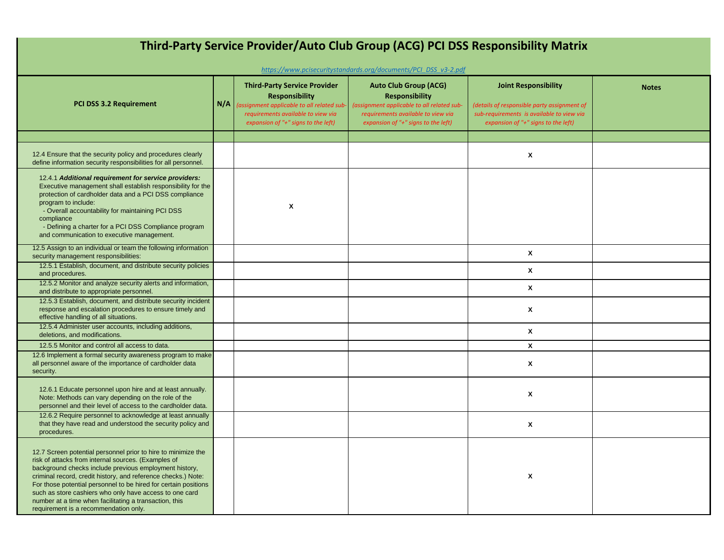| Third-Party Service Provider/Auto Club Group (ACG) PCI DSS Responsibility Matrix                                                                                                                                                                                                                                                                                                                                                                                                 |     |                                                                                                                                                                                         |                                                                                                                                                                                                                                                     |                                                                                                                                                                |              |
|----------------------------------------------------------------------------------------------------------------------------------------------------------------------------------------------------------------------------------------------------------------------------------------------------------------------------------------------------------------------------------------------------------------------------------------------------------------------------------|-----|-----------------------------------------------------------------------------------------------------------------------------------------------------------------------------------------|-----------------------------------------------------------------------------------------------------------------------------------------------------------------------------------------------------------------------------------------------------|----------------------------------------------------------------------------------------------------------------------------------------------------------------|--------------|
| <b>PCI DSS 3.2 Requirement</b>                                                                                                                                                                                                                                                                                                                                                                                                                                                   | N/A | <b>Third-Party Service Provider</b><br><b>Responsibility</b><br>(assignment applicable to all related sub-<br>requirements available to view via<br>expansion of "+" signs to the left) | https://www.pcisecuritystandards.org/documents/PCI DSS v3-2.pdf<br><b>Auto Club Group (ACG)</b><br><b>Responsibility</b><br>(assignment applicable to all related sub-<br>requirements available to view via<br>expansion of "+" signs to the left) | <b>Joint Responsibility</b><br>(details of responsible party assignment of<br>sub-requirements is available to view via<br>expansion of "+" signs to the left) | <b>Notes</b> |
|                                                                                                                                                                                                                                                                                                                                                                                                                                                                                  |     |                                                                                                                                                                                         |                                                                                                                                                                                                                                                     |                                                                                                                                                                |              |
| 12.4 Ensure that the security policy and procedures clearly<br>define information security responsibilities for all personnel.                                                                                                                                                                                                                                                                                                                                                   |     |                                                                                                                                                                                         |                                                                                                                                                                                                                                                     | X                                                                                                                                                              |              |
| 12.4.1 Additional requirement for service providers:<br>Executive management shall establish responsibility for the<br>protection of cardholder data and a PCI DSS compliance<br>program to include:<br>- Overall accountability for maintaining PCI DSS<br>compliance<br>- Defining a charter for a PCI DSS Compliance program<br>and communication to executive management.                                                                                                    |     | Χ                                                                                                                                                                                       |                                                                                                                                                                                                                                                     |                                                                                                                                                                |              |
| 12.5 Assign to an individual or team the following information<br>security management responsibilities:                                                                                                                                                                                                                                                                                                                                                                          |     |                                                                                                                                                                                         |                                                                                                                                                                                                                                                     | X                                                                                                                                                              |              |
| 12.5.1 Establish, document, and distribute security policies<br>and procedures.                                                                                                                                                                                                                                                                                                                                                                                                  |     |                                                                                                                                                                                         |                                                                                                                                                                                                                                                     | X                                                                                                                                                              |              |
| 12.5.2 Monitor and analyze security alerts and information,<br>and distribute to appropriate personnel.                                                                                                                                                                                                                                                                                                                                                                          |     |                                                                                                                                                                                         |                                                                                                                                                                                                                                                     | X                                                                                                                                                              |              |
| 12.5.3 Establish, document, and distribute security incident<br>response and escalation procedures to ensure timely and<br>effective handling of all situations.                                                                                                                                                                                                                                                                                                                 |     |                                                                                                                                                                                         |                                                                                                                                                                                                                                                     | X                                                                                                                                                              |              |
| 12.5.4 Administer user accounts, including additions,<br>deletions, and modifications.                                                                                                                                                                                                                                                                                                                                                                                           |     |                                                                                                                                                                                         |                                                                                                                                                                                                                                                     | X                                                                                                                                                              |              |
| 12.5.5 Monitor and control all access to data.                                                                                                                                                                                                                                                                                                                                                                                                                                   |     |                                                                                                                                                                                         |                                                                                                                                                                                                                                                     | X                                                                                                                                                              |              |
| 12.6 Implement a formal security awareness program to make<br>all personnel aware of the importance of cardholder data<br>security.                                                                                                                                                                                                                                                                                                                                              |     |                                                                                                                                                                                         |                                                                                                                                                                                                                                                     | X                                                                                                                                                              |              |
| 12.6.1 Educate personnel upon hire and at least annually.<br>Note: Methods can vary depending on the role of the<br>personnel and their level of access to the cardholder data.                                                                                                                                                                                                                                                                                                  |     |                                                                                                                                                                                         |                                                                                                                                                                                                                                                     | X                                                                                                                                                              |              |
| 12.6.2 Require personnel to acknowledge at least annually<br>that they have read and understood the security policy and<br>procedures.                                                                                                                                                                                                                                                                                                                                           |     |                                                                                                                                                                                         |                                                                                                                                                                                                                                                     | X                                                                                                                                                              |              |
| 12.7 Screen potential personnel prior to hire to minimize the<br>risk of attacks from internal sources. (Examples of<br>background checks include previous employment history,<br>criminal record, credit history, and reference checks.) Note:<br>For those potential personnel to be hired for certain positions<br>such as store cashiers who only have access to one card<br>number at a time when facilitating a transaction, this<br>requirement is a recommendation only. |     |                                                                                                                                                                                         |                                                                                                                                                                                                                                                     | X                                                                                                                                                              |              |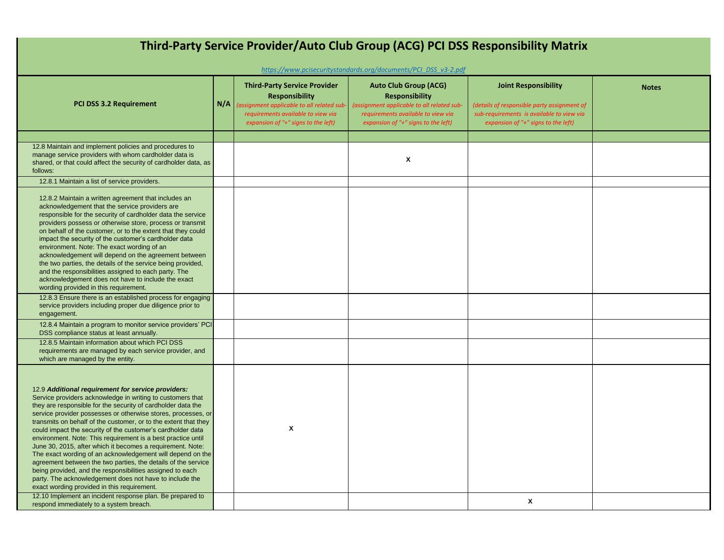| Third-Party Service Provider/Auto Club Group (ACG) PCI DSS Responsibility Matrix<br>https://www.pcisecuritystandards.org/documents/PCI_DSS_v3-2.pdf                                                                                                                                                                                                                                                                                                                                                                                                                                                                                                                                                                                                                                                                                                                                  |     |                                                                                                                                                                                         |                                                                                                                                                                                  |                                                                                                                                                                |              |  |
|--------------------------------------------------------------------------------------------------------------------------------------------------------------------------------------------------------------------------------------------------------------------------------------------------------------------------------------------------------------------------------------------------------------------------------------------------------------------------------------------------------------------------------------------------------------------------------------------------------------------------------------------------------------------------------------------------------------------------------------------------------------------------------------------------------------------------------------------------------------------------------------|-----|-----------------------------------------------------------------------------------------------------------------------------------------------------------------------------------------|----------------------------------------------------------------------------------------------------------------------------------------------------------------------------------|----------------------------------------------------------------------------------------------------------------------------------------------------------------|--------------|--|
| <b>PCI DSS 3.2 Requirement</b>                                                                                                                                                                                                                                                                                                                                                                                                                                                                                                                                                                                                                                                                                                                                                                                                                                                       | N/A | <b>Third-Party Service Provider</b><br><b>Responsibility</b><br>(assignment applicable to all related sub-<br>requirements available to view via<br>expansion of "+" signs to the left) | <b>Auto Club Group (ACG)</b><br><b>Responsibility</b><br>(assignment applicable to all related sub-<br>requirements available to view via<br>expansion of "+" signs to the left) | <b>Joint Responsibility</b><br>(details of responsible party assignment of<br>sub-requirements is available to view via<br>expansion of "+" signs to the left) | <b>Notes</b> |  |
|                                                                                                                                                                                                                                                                                                                                                                                                                                                                                                                                                                                                                                                                                                                                                                                                                                                                                      |     |                                                                                                                                                                                         |                                                                                                                                                                                  |                                                                                                                                                                |              |  |
| 12.8 Maintain and implement policies and procedures to<br>manage service providers with whom cardholder data is<br>shared, or that could affect the security of cardholder data, as<br>follows:                                                                                                                                                                                                                                                                                                                                                                                                                                                                                                                                                                                                                                                                                      |     |                                                                                                                                                                                         | X                                                                                                                                                                                |                                                                                                                                                                |              |  |
| 12.8.1 Maintain a list of service providers.                                                                                                                                                                                                                                                                                                                                                                                                                                                                                                                                                                                                                                                                                                                                                                                                                                         |     |                                                                                                                                                                                         |                                                                                                                                                                                  |                                                                                                                                                                |              |  |
| 12.8.2 Maintain a written agreement that includes an<br>acknowledgement that the service providers are<br>responsible for the security of cardholder data the service<br>providers possess or otherwise store, process or transmit<br>on behalf of the customer, or to the extent that they could<br>impact the security of the customer's cardholder data<br>environment. Note: The exact wording of an<br>acknowledgement will depend on the agreement between<br>the two parties, the details of the service being provided,<br>and the responsibilities assigned to each party. The<br>acknowledgement does not have to include the exact<br>wording provided in this requirement.                                                                                                                                                                                               |     |                                                                                                                                                                                         |                                                                                                                                                                                  |                                                                                                                                                                |              |  |
| 12.8.3 Ensure there is an established process for engaging<br>service providers including proper due diligence prior to<br>engagement.                                                                                                                                                                                                                                                                                                                                                                                                                                                                                                                                                                                                                                                                                                                                               |     |                                                                                                                                                                                         |                                                                                                                                                                                  |                                                                                                                                                                |              |  |
| 12.8.4 Maintain a program to monitor service providers' PCI<br>DSS compliance status at least annually.                                                                                                                                                                                                                                                                                                                                                                                                                                                                                                                                                                                                                                                                                                                                                                              |     |                                                                                                                                                                                         |                                                                                                                                                                                  |                                                                                                                                                                |              |  |
| 12.8.5 Maintain information about which PCI DSS<br>requirements are managed by each service provider, and<br>which are managed by the entity.                                                                                                                                                                                                                                                                                                                                                                                                                                                                                                                                                                                                                                                                                                                                        |     |                                                                                                                                                                                         |                                                                                                                                                                                  |                                                                                                                                                                |              |  |
| 12.9 Additional requirement for service providers:<br>Service providers acknowledge in writing to customers that<br>they are responsible for the security of cardholder data the<br>service provider possesses or otherwise stores, processes, or<br>transmits on behalf of the customer, or to the extent that they<br>could impact the security of the customer's cardholder data<br>environment. Note: This requirement is a best practice until<br>June 30, 2015, after which it becomes a requirement. Note:<br>The exact wording of an acknowledgement will depend on the<br>agreement between the two parties, the details of the service<br>being provided, and the responsibilities assigned to each<br>party. The acknowledgement does not have to include the<br>exact wording provided in this requirement.<br>12.10 Implement an incident response plan. Be prepared to |     | X                                                                                                                                                                                       |                                                                                                                                                                                  | X                                                                                                                                                              |              |  |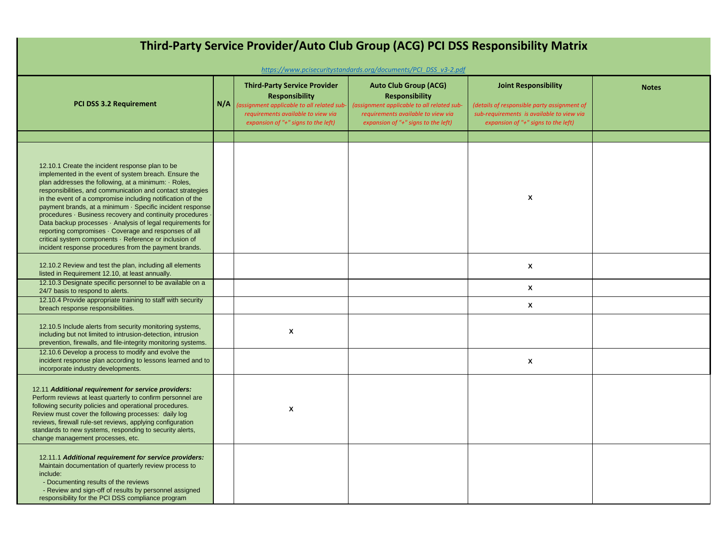| Third-Party Service Provider/Auto Club Group (ACG) PCI DSS Responsibility Matrix<br>https://www.pcisecuritystandards.org/documents/PCI_DSS_v3-2.pdf                                                                                                                                                                                                                                                                                                                                                                                                                                                                                                               |     |                                                                                                                                                                                         |                                                                                                                                                                                  |                                                                                                                                                                |              |
|-------------------------------------------------------------------------------------------------------------------------------------------------------------------------------------------------------------------------------------------------------------------------------------------------------------------------------------------------------------------------------------------------------------------------------------------------------------------------------------------------------------------------------------------------------------------------------------------------------------------------------------------------------------------|-----|-----------------------------------------------------------------------------------------------------------------------------------------------------------------------------------------|----------------------------------------------------------------------------------------------------------------------------------------------------------------------------------|----------------------------------------------------------------------------------------------------------------------------------------------------------------|--------------|
| <b>PCI DSS 3.2 Requirement</b>                                                                                                                                                                                                                                                                                                                                                                                                                                                                                                                                                                                                                                    | N/A | <b>Third-Party Service Provider</b><br><b>Responsibility</b><br>(assignment applicable to all related sub-<br>requirements available to view via<br>expansion of "+" signs to the left) | <b>Auto Club Group (ACG)</b><br><b>Responsibility</b><br>(assignment applicable to all related sub-<br>requirements available to view via<br>expansion of "+" signs to the left) | <b>Joint Responsibility</b><br>(details of responsible party assignment of<br>sub-requirements is available to view via<br>expansion of "+" signs to the left) | <b>Notes</b> |
| 12.10.1 Create the incident response plan to be<br>implemented in the event of system breach. Ensure the<br>plan addresses the following, at a minimum: · Roles,<br>responsibilities, and communication and contact strategies<br>in the event of a compromise including notification of the<br>payment brands, at a minimum · Specific incident response<br>procedures · Business recovery and continuity procedures ·<br>Data backup processes · Analysis of legal requirements for<br>reporting compromises · Coverage and responses of all<br>critical system components · Reference or inclusion of<br>incident response procedures from the payment brands. |     |                                                                                                                                                                                         |                                                                                                                                                                                  | X                                                                                                                                                              |              |
| 12.10.2 Review and test the plan, including all elements<br>listed in Requirement 12.10, at least annually.                                                                                                                                                                                                                                                                                                                                                                                                                                                                                                                                                       |     |                                                                                                                                                                                         |                                                                                                                                                                                  | X                                                                                                                                                              |              |
| 12.10.3 Designate specific personnel to be available on a<br>24/7 basis to respond to alerts.<br>12.10.4 Provide appropriate training to staff with security                                                                                                                                                                                                                                                                                                                                                                                                                                                                                                      |     |                                                                                                                                                                                         |                                                                                                                                                                                  | X                                                                                                                                                              |              |
| breach response responsibilities.                                                                                                                                                                                                                                                                                                                                                                                                                                                                                                                                                                                                                                 |     |                                                                                                                                                                                         |                                                                                                                                                                                  | X                                                                                                                                                              |              |
| 12.10.5 Include alerts from security monitoring systems,<br>including but not limited to intrusion-detection, intrusion<br>prevention, firewalls, and file-integrity monitoring systems.                                                                                                                                                                                                                                                                                                                                                                                                                                                                          |     | X                                                                                                                                                                                       |                                                                                                                                                                                  |                                                                                                                                                                |              |
| 12.10.6 Develop a process to modify and evolve the<br>incident response plan according to lessons learned and to<br>incorporate industry developments.                                                                                                                                                                                                                                                                                                                                                                                                                                                                                                            |     |                                                                                                                                                                                         |                                                                                                                                                                                  | X                                                                                                                                                              |              |
| 12.11 Additional requirement for service providers:<br>Perform reviews at least quarterly to confirm personnel are<br>following security policies and operational procedures.<br>Review must cover the following processes: daily log<br>reviews, firewall rule-set reviews, applying configuration<br>standards to new systems, responding to security alerts,<br>change management processes, etc.                                                                                                                                                                                                                                                              |     | X                                                                                                                                                                                       |                                                                                                                                                                                  |                                                                                                                                                                |              |
| 12.11.1 Additional requirement for service providers:<br>Maintain documentation of quarterly review process to<br>include:<br>- Documenting results of the reviews<br>- Review and sign-off of results by personnel assigned<br>responsibility for the PCI DSS compliance program                                                                                                                                                                                                                                                                                                                                                                                 |     |                                                                                                                                                                                         |                                                                                                                                                                                  |                                                                                                                                                                |              |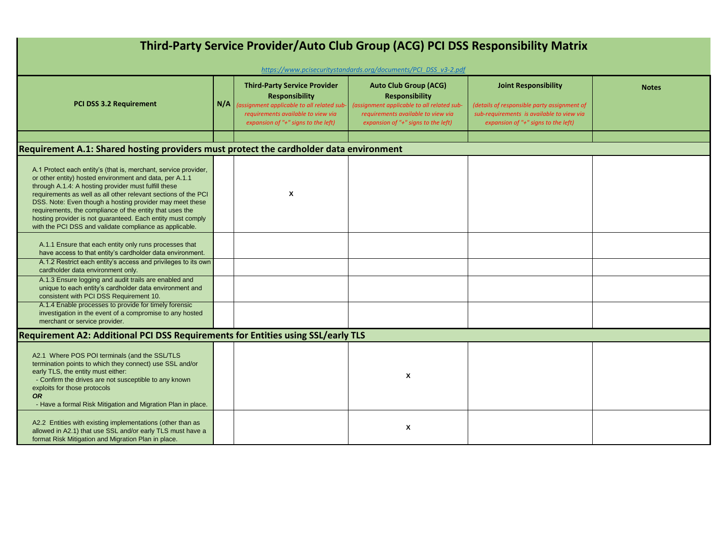| Third-Party Service Provider/Auto Club Group (ACG) PCI DSS Responsibility Matrix                                                                                                                                                                                                                                                                                                                                                                                                                       |     |                                                                                                                                                                                         |                                                                                                                                                                                  |                                                                                                                                                                |              |  |
|--------------------------------------------------------------------------------------------------------------------------------------------------------------------------------------------------------------------------------------------------------------------------------------------------------------------------------------------------------------------------------------------------------------------------------------------------------------------------------------------------------|-----|-----------------------------------------------------------------------------------------------------------------------------------------------------------------------------------------|----------------------------------------------------------------------------------------------------------------------------------------------------------------------------------|----------------------------------------------------------------------------------------------------------------------------------------------------------------|--------------|--|
| https://www.pcisecuritystandards.org/documents/PCI DSS v3-2.pdf                                                                                                                                                                                                                                                                                                                                                                                                                                        |     |                                                                                                                                                                                         |                                                                                                                                                                                  |                                                                                                                                                                |              |  |
| <b>PCI DSS 3.2 Requirement</b>                                                                                                                                                                                                                                                                                                                                                                                                                                                                         | N/A | <b>Third-Party Service Provider</b><br><b>Responsibility</b><br>(assignment applicable to all related sub-<br>requirements available to view via<br>expansion of "+" signs to the left) | <b>Auto Club Group (ACG)</b><br><b>Responsibility</b><br>(assignment applicable to all related sub-<br>requirements available to view via<br>expansion of "+" signs to the left) | <b>Joint Responsibility</b><br>(details of responsible party assignment of<br>sub-requirements is available to view via<br>expansion of "+" signs to the left) | <b>Notes</b> |  |
|                                                                                                                                                                                                                                                                                                                                                                                                                                                                                                        |     |                                                                                                                                                                                         |                                                                                                                                                                                  |                                                                                                                                                                |              |  |
| Requirement A.1: Shared hosting providers must protect the cardholder data environment                                                                                                                                                                                                                                                                                                                                                                                                                 |     |                                                                                                                                                                                         |                                                                                                                                                                                  |                                                                                                                                                                |              |  |
| A.1 Protect each entity's (that is, merchant, service provider,<br>or other entity) hosted environment and data, per A.1.1<br>through A.1.4: A hosting provider must fulfill these<br>requirements as well as all other relevant sections of the PCI<br>DSS. Note: Even though a hosting provider may meet these<br>requirements, the compliance of the entity that uses the<br>hosting provider is not guaranteed. Each entity must comply<br>with the PCI DSS and validate compliance as applicable. |     | X                                                                                                                                                                                       |                                                                                                                                                                                  |                                                                                                                                                                |              |  |
| A.1.1 Ensure that each entity only runs processes that<br>have access to that entity's cardholder data environment.                                                                                                                                                                                                                                                                                                                                                                                    |     |                                                                                                                                                                                         |                                                                                                                                                                                  |                                                                                                                                                                |              |  |
| A.1.2 Restrict each entity's access and privileges to its own<br>cardholder data environment only.                                                                                                                                                                                                                                                                                                                                                                                                     |     |                                                                                                                                                                                         |                                                                                                                                                                                  |                                                                                                                                                                |              |  |
| A.1.3 Ensure logging and audit trails are enabled and<br>unique to each entity's cardholder data environment and<br>consistent with PCI DSS Requirement 10.                                                                                                                                                                                                                                                                                                                                            |     |                                                                                                                                                                                         |                                                                                                                                                                                  |                                                                                                                                                                |              |  |
| A.1.4 Enable processes to provide for timely forensic<br>investigation in the event of a compromise to any hosted<br>merchant or service provider.                                                                                                                                                                                                                                                                                                                                                     |     |                                                                                                                                                                                         |                                                                                                                                                                                  |                                                                                                                                                                |              |  |
| Requirement A2: Additional PCI DSS Requirements for Entities using SSL/early TLS                                                                                                                                                                                                                                                                                                                                                                                                                       |     |                                                                                                                                                                                         |                                                                                                                                                                                  |                                                                                                                                                                |              |  |
| A2.1 Where POS POI terminals (and the SSL/TLS<br>termination points to which they connect) use SSL and/or<br>early TLS, the entity must either:<br>- Confirm the drives are not susceptible to any known<br>exploits for those protocols<br><b>OR</b><br>- Have a formal Risk Mitigation and Migration Plan in place.                                                                                                                                                                                  |     |                                                                                                                                                                                         | Χ                                                                                                                                                                                |                                                                                                                                                                |              |  |
| A2.2 Entities with existing implementations (other than as<br>allowed in A2.1) that use SSL and/or early TLS must have a<br>format Risk Mitigation and Migration Plan in place.                                                                                                                                                                                                                                                                                                                        |     |                                                                                                                                                                                         | X                                                                                                                                                                                |                                                                                                                                                                |              |  |